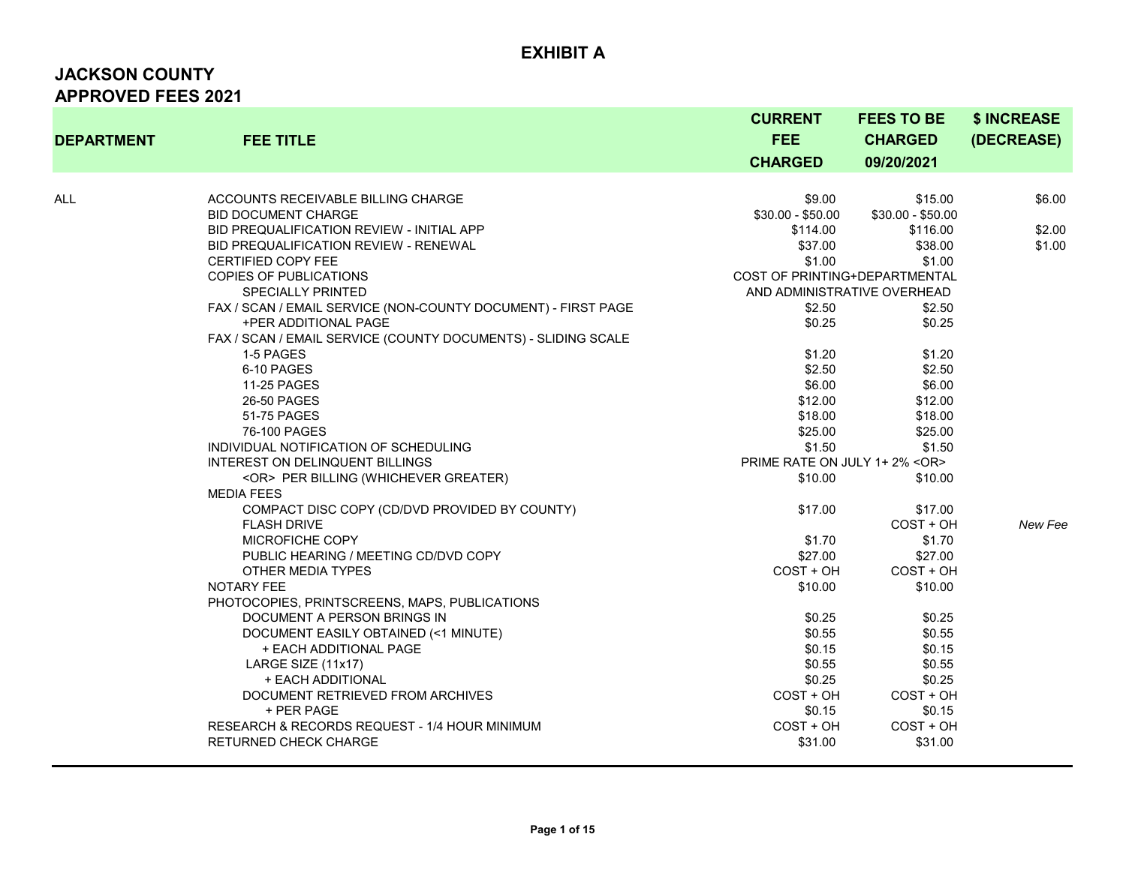| <b>DEPARTMENT</b> | <b>FEE TITLE</b>                                                 | <b>CURRENT</b><br><b>FEE</b><br><b>CHARGED</b> | <b>FEES TO BE</b><br><b>CHARGED</b><br>09/20/2021 | \$ INCREASE<br>(DECREASE) |
|-------------------|------------------------------------------------------------------|------------------------------------------------|---------------------------------------------------|---------------------------|
|                   |                                                                  |                                                |                                                   |                           |
| ALL               | ACCOUNTS RECEIVABLE BILLING CHARGE<br><b>BID DOCUMENT CHARGE</b> | \$9.00<br>$$30.00 - $50.00$                    | \$15.00<br>$$30.00 - $50.00$                      | \$6.00                    |
|                   | BID PREQUALIFICATION REVIEW - INITIAL APP                        | \$114.00                                       | \$116.00                                          | \$2.00                    |
|                   | BID PREQUALIFICATION REVIEW - RENEWAL                            | \$37.00                                        | \$38.00                                           | \$1.00                    |
|                   | <b>CERTIFIED COPY FEE</b>                                        | \$1.00                                         | \$1.00                                            |                           |
|                   | <b>COPIES OF PUBLICATIONS</b>                                    | COST OF PRINTING+DEPARTMENTAL                  |                                                   |                           |
|                   | <b>SPECIALLY PRINTED</b>                                         |                                                | AND ADMINISTRATIVE OVERHEAD                       |                           |
|                   | FAX / SCAN / EMAIL SERVICE (NON-COUNTY DOCUMENT) - FIRST PAGE    | \$2.50                                         | \$2.50                                            |                           |
|                   | +PER ADDITIONAL PAGE                                             | \$0.25                                         | \$0.25                                            |                           |
|                   | FAX / SCAN / EMAIL SERVICE (COUNTY DOCUMENTS) - SLIDING SCALE    |                                                |                                                   |                           |
|                   | 1-5 PAGES                                                        | \$1.20                                         | \$1.20                                            |                           |
|                   | 6-10 PAGES                                                       | \$2.50                                         | \$2.50                                            |                           |
|                   | 11-25 PAGES                                                      | \$6.00                                         | \$6.00                                            |                           |
|                   | 26-50 PAGES                                                      | \$12.00                                        | \$12.00                                           |                           |
|                   | 51-75 PAGES                                                      | \$18.00                                        | \$18.00                                           |                           |
|                   | 76-100 PAGES                                                     | \$25.00                                        | \$25.00                                           |                           |
|                   | INDIVIDUAL NOTIFICATION OF SCHEDULING                            | \$1.50                                         | \$1.50                                            |                           |
|                   | INTEREST ON DELINQUENT BILLINGS                                  | PRIME RATE ON JULY 1+2% <or></or>              |                                                   |                           |
|                   | <or> PER BILLING (WHICHEVER GREATER)</or>                        | \$10.00                                        | \$10.00                                           |                           |
|                   | <b>MEDIA FEES</b>                                                |                                                |                                                   |                           |
|                   | COMPACT DISC COPY (CD/DVD PROVIDED BY COUNTY)                    | \$17.00                                        | \$17.00                                           |                           |
|                   | <b>FLASH DRIVE</b>                                               |                                                | $COST + OH$                                       | New Fee                   |
|                   | MICROFICHE COPY                                                  | \$1.70                                         | \$1.70                                            |                           |
|                   | PUBLIC HEARING / MEETING CD/DVD COPY                             | \$27.00                                        | \$27.00                                           |                           |
|                   | OTHER MEDIA TYPES                                                | $COST + OH$                                    | $COST + OH$                                       |                           |
|                   | NOTARY FEE                                                       | \$10.00                                        | \$10.00                                           |                           |
|                   | PHOTOCOPIES, PRINTSCREENS, MAPS, PUBLICATIONS                    |                                                |                                                   |                           |
|                   | DOCUMENT A PERSON BRINGS IN                                      | \$0.25                                         | \$0.25                                            |                           |
|                   | DOCUMENT EASILY OBTAINED (<1 MINUTE)                             | \$0.55                                         | \$0.55                                            |                           |
|                   | + EACH ADDITIONAL PAGE                                           | \$0.15                                         | \$0.15                                            |                           |
|                   | LARGE SIZE (11x17)<br>+ EACH ADDITIONAL                          | \$0.55<br>\$0.25                               | \$0.55<br>\$0.25                                  |                           |
|                   | DOCUMENT RETRIEVED FROM ARCHIVES                                 | COST + OH                                      | $COST + OH$                                       |                           |
|                   | + PER PAGE                                                       | \$0.15                                         | \$0.15                                            |                           |
|                   | RESEARCH & RECORDS REQUEST - 1/4 HOUR MINIMUM                    | $COST + OH$                                    | COST + OH                                         |                           |
|                   | <b>RETURNED CHECK CHARGE</b>                                     | \$31.00                                        | \$31.00                                           |                           |
|                   |                                                                  |                                                |                                                   |                           |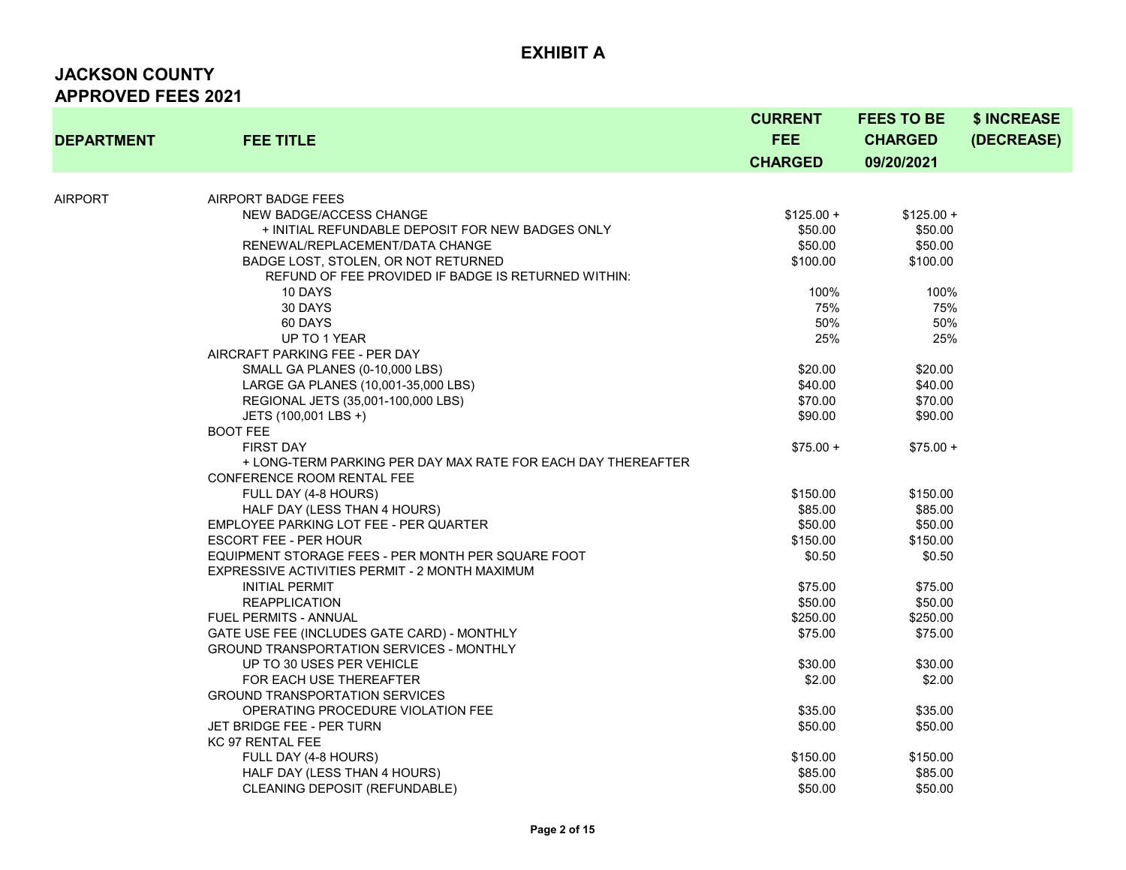|                   |                                                              | <b>CURRENT</b> | <b>FEES TO BE</b> | \$ INCREASE |
|-------------------|--------------------------------------------------------------|----------------|-------------------|-------------|
| <b>DEPARTMENT</b> | <b>FEE TITLE</b>                                             | <b>FEE</b>     | <b>CHARGED</b>    | (DECREASE)  |
|                   |                                                              | <b>CHARGED</b> | 09/20/2021        |             |
|                   |                                                              |                |                   |             |
| AIRPORT           | <b>AIRPORT BADGE FEES</b>                                    |                |                   |             |
|                   | NEW BADGE/ACCESS CHANGE                                      | $$125.00 +$    | $$125.00 +$       |             |
|                   | + INITIAL REFUNDABLE DEPOSIT FOR NEW BADGES ONLY             | \$50.00        | \$50.00           |             |
|                   | RENEWAL/REPLACEMENT/DATA CHANGE                              | \$50.00        | \$50.00           |             |
|                   | BADGE LOST, STOLEN, OR NOT RETURNED                          | \$100.00       | \$100.00          |             |
|                   | REFUND OF FEE PROVIDED IF BADGE IS RETURNED WITHIN:          |                |                   |             |
|                   | 10 DAYS                                                      | 100%           | 100%              |             |
|                   | 30 DAYS                                                      | 75%            | 75%               |             |
|                   | 60 DAYS                                                      | 50%            | 50%               |             |
|                   | UP TO 1 YEAR                                                 | 25%            | 25%               |             |
|                   | AIRCRAFT PARKING FEE - PER DAY                               |                |                   |             |
|                   | SMALL GA PLANES (0-10,000 LBS)                               | \$20.00        | \$20.00           |             |
|                   | LARGE GA PLANES (10,001-35,000 LBS)                          | \$40.00        | \$40.00           |             |
|                   | REGIONAL JETS (35,001-100,000 LBS)                           | \$70.00        | \$70.00           |             |
|                   | JETS (100,001 LBS +)                                         | \$90.00        | \$90.00           |             |
|                   | <b>BOOT FEE</b>                                              |                |                   |             |
|                   | <b>FIRST DAY</b>                                             | $$75.00 +$     | $$75.00 +$        |             |
|                   | + LONG-TERM PARKING PER DAY MAX RATE FOR EACH DAY THEREAFTER |                |                   |             |
|                   | CONFERENCE ROOM RENTAL FEE                                   |                |                   |             |
|                   | FULL DAY (4-8 HOURS)                                         | \$150.00       | \$150.00          |             |
|                   | HALF DAY (LESS THAN 4 HOURS)                                 | \$85.00        | \$85.00           |             |
|                   | EMPLOYEE PARKING LOT FEE - PER QUARTER                       | \$50.00        | \$50.00           |             |
|                   | <b>ESCORT FEE - PER HOUR</b>                                 | \$150.00       | \$150.00          |             |
|                   | EQUIPMENT STORAGE FEES - PER MONTH PER SQUARE FOOT           | \$0.50         | \$0.50            |             |
|                   | EXPRESSIVE ACTIVITIES PERMIT - 2 MONTH MAXIMUM               | \$75.00        |                   |             |
|                   | <b>INITIAL PERMIT</b>                                        |                | \$75.00           |             |
|                   | <b>REAPPLICATION</b>                                         | \$50.00        | \$50.00           |             |
|                   | <b>FUEL PERMITS - ANNUAL</b>                                 | \$250.00       | \$250.00          |             |
|                   | GATE USE FEE (INCLUDES GATE CARD) - MONTHLY                  | \$75.00        | \$75.00           |             |
|                   | <b>GROUND TRANSPORTATION SERVICES - MONTHLY</b>              |                |                   |             |
|                   | UP TO 30 USES PER VEHICLE                                    | \$30.00        | \$30.00           |             |
|                   | FOR EACH USE THEREAFTER                                      | \$2.00         | \$2.00            |             |
|                   | <b>GROUND TRANSPORTATION SERVICES</b>                        |                |                   |             |
|                   | OPERATING PROCEDURE VIOLATION FEE                            | \$35.00        | \$35.00           |             |
|                   | JET BRIDGE FEE - PER TURN                                    | \$50.00        | \$50.00           |             |
|                   | KC 97 RENTAL FEE                                             |                |                   |             |
|                   | FULL DAY (4-8 HOURS)                                         | \$150.00       | \$150.00          |             |
|                   | HALF DAY (LESS THAN 4 HOURS)                                 | \$85.00        | \$85.00           |             |
|                   | CLEANING DEPOSIT (REFUNDABLE)                                | \$50.00        | \$50.00           |             |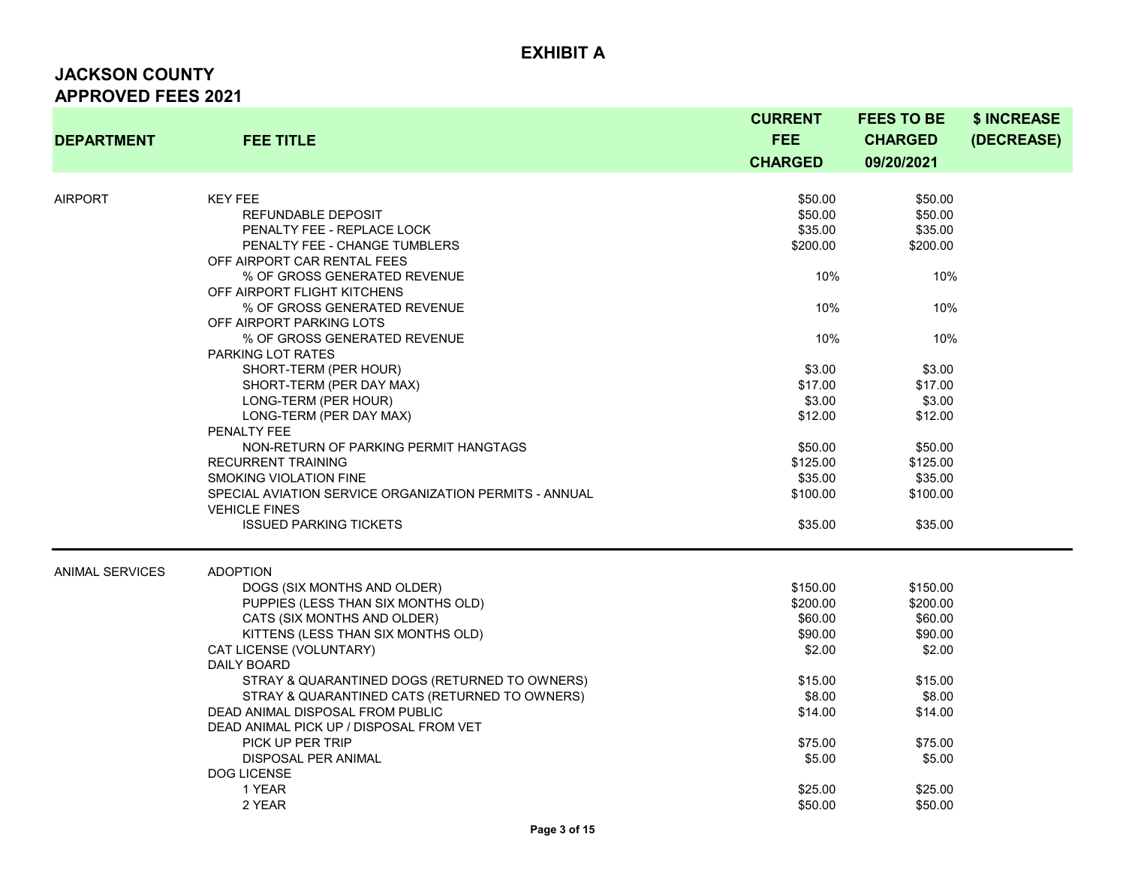|                        |                                                        | <b>CURRENT</b>      | <b>FEES TO BE</b>   | \$ INCREASE |
|------------------------|--------------------------------------------------------|---------------------|---------------------|-------------|
| <b>DEPARTMENT</b>      | <b>FEE TITLE</b>                                       | <b>FEE</b>          | <b>CHARGED</b>      | (DECREASE)  |
|                        |                                                        | <b>CHARGED</b>      | 09/20/2021          |             |
|                        |                                                        |                     |                     |             |
| <b>AIRPORT</b>         | <b>KEY FEE</b>                                         | \$50.00             | \$50.00             |             |
|                        | REFUNDABLE DEPOSIT                                     | \$50.00             | \$50.00             |             |
|                        | PENALTY FEE - REPLACE LOCK                             | \$35.00             | \$35.00             |             |
|                        | PENALTY FEE - CHANGE TUMBLERS                          | \$200.00            | \$200.00            |             |
|                        | OFF AIRPORT CAR RENTAL FEES                            |                     |                     |             |
|                        | % OF GROSS GENERATED REVENUE                           | 10%                 | 10%                 |             |
|                        | OFF AIRPORT FLIGHT KITCHENS                            |                     |                     |             |
|                        | % OF GROSS GENERATED REVENUE                           | 10%                 | 10%                 |             |
|                        | OFF AIRPORT PARKING LOTS                               |                     |                     |             |
|                        | % OF GROSS GENERATED REVENUE                           | 10%                 | 10%                 |             |
|                        | PARKING LOT RATES                                      |                     |                     |             |
|                        | SHORT-TERM (PER HOUR)                                  | \$3.00              | \$3.00              |             |
|                        | SHORT-TERM (PER DAY MAX)                               | \$17.00             | \$17.00             |             |
|                        | LONG-TERM (PER HOUR)                                   | \$3.00              | \$3.00              |             |
|                        | LONG-TERM (PER DAY MAX)                                | \$12.00             | \$12.00             |             |
|                        | PENALTY FEE                                            |                     |                     |             |
|                        | NON-RETURN OF PARKING PERMIT HANGTAGS                  | \$50.00<br>\$125.00 | \$50.00             |             |
|                        | <b>RECURRENT TRAINING</b><br>SMOKING VIOLATION FINE    | \$35.00             | \$125.00<br>\$35.00 |             |
|                        | SPECIAL AVIATION SERVICE ORGANIZATION PERMITS - ANNUAL | \$100.00            | \$100.00            |             |
|                        | <b>VEHICLE FINES</b>                                   |                     |                     |             |
|                        | <b>ISSUED PARKING TICKETS</b>                          | \$35.00             | \$35.00             |             |
|                        |                                                        |                     |                     |             |
| <b>ANIMAL SERVICES</b> | <b>ADOPTION</b>                                        |                     |                     |             |
|                        | DOGS (SIX MONTHS AND OLDER)                            | \$150.00            | \$150.00            |             |
|                        | PUPPIES (LESS THAN SIX MONTHS OLD)                     | \$200.00            | \$200.00            |             |
|                        | CATS (SIX MONTHS AND OLDER)                            | \$60.00             | \$60.00             |             |
|                        | KITTENS (LESS THAN SIX MONTHS OLD)                     | \$90.00             | \$90.00             |             |
|                        | CAT LICENSE (VOLUNTARY)                                | \$2.00              | \$2.00              |             |
|                        | <b>DAILY BOARD</b>                                     |                     |                     |             |
|                        | STRAY & QUARANTINED DOGS (RETURNED TO OWNERS)          | \$15.00             | \$15.00             |             |
|                        | STRAY & QUARANTINED CATS (RETURNED TO OWNERS)          | \$8.00              | \$8.00              |             |
|                        | DEAD ANIMAL DISPOSAL FROM PUBLIC                       | \$14.00             | \$14.00             |             |
|                        | DEAD ANIMAL PICK UP / DISPOSAL FROM VET                |                     |                     |             |
|                        | PICK UP PER TRIP                                       | \$75.00             | \$75.00             |             |
|                        | DISPOSAL PER ANIMAL                                    | \$5.00              | \$5.00              |             |
|                        | <b>DOG LICENSE</b>                                     |                     |                     |             |
|                        | 1 YEAR                                                 | \$25.00             | \$25.00             |             |
|                        | 2 YEAR                                                 | \$50.00             | \$50.00             |             |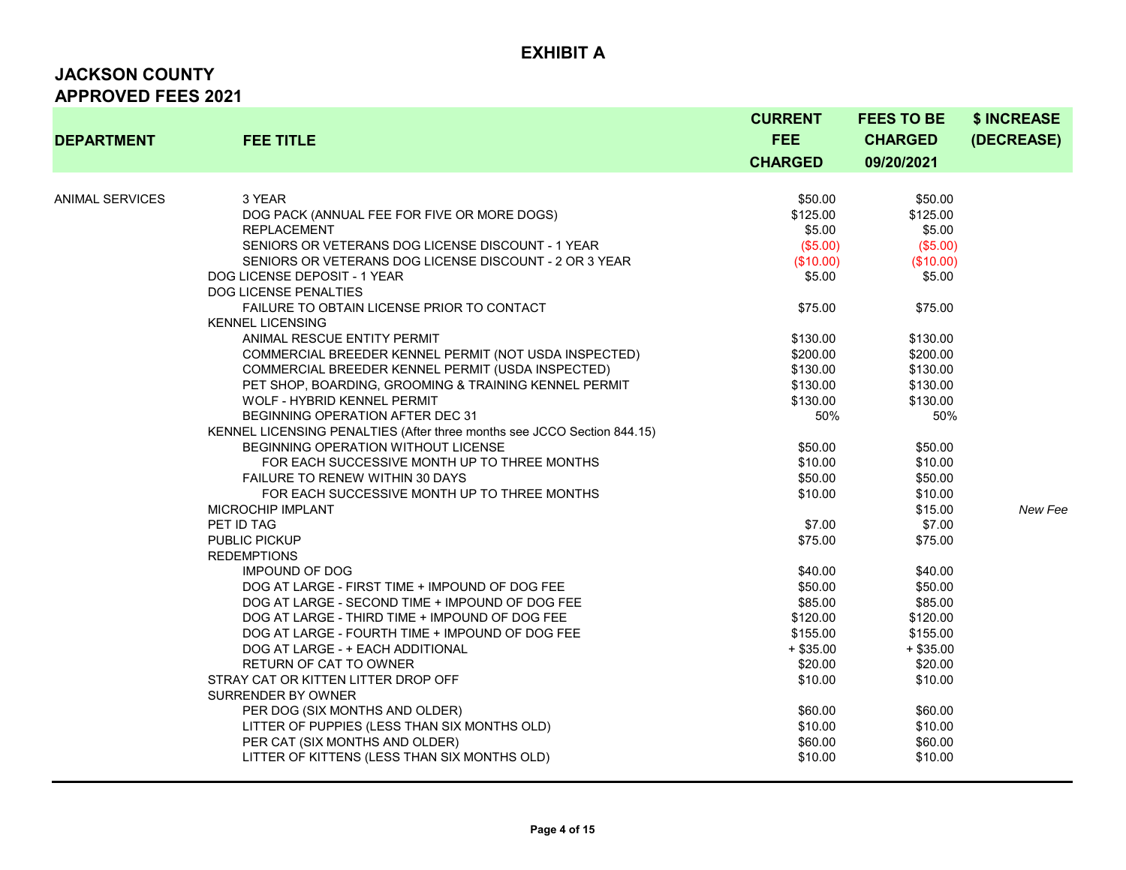| <b>DEPARTMENT</b>      | <b>FEE TITLE</b>                                                        | <b>CURRENT</b><br><b>FEE</b><br><b>CHARGED</b> | <b>FEES TO BE</b><br><b>CHARGED</b><br>09/20/2021 | \$ INCREASE<br>(DECREASE) |
|------------------------|-------------------------------------------------------------------------|------------------------------------------------|---------------------------------------------------|---------------------------|
| <b>ANIMAL SERVICES</b> | 3 YEAR                                                                  | \$50.00                                        | \$50.00                                           |                           |
|                        |                                                                         | \$125.00                                       | \$125.00                                          |                           |
|                        | DOG PACK (ANNUAL FEE FOR FIVE OR MORE DOGS)<br><b>REPLACEMENT</b>       | \$5.00                                         | \$5.00                                            |                           |
|                        | SENIORS OR VETERANS DOG LICENSE DISCOUNT - 1 YEAR                       | (\$5.00)                                       | (\$5.00)                                          |                           |
|                        | SENIORS OR VETERANS DOG LICENSE DISCOUNT - 2 OR 3 YEAR                  |                                                | (\$10.00)                                         |                           |
|                        | DOG LICENSE DEPOSIT - 1 YEAR                                            | (\$10.00)<br>\$5.00                            | \$5.00                                            |                           |
|                        | DOG LICENSE PENALTIES                                                   |                                                |                                                   |                           |
|                        | FAILURE TO OBTAIN LICENSE PRIOR TO CONTACT                              | \$75.00                                        | \$75.00                                           |                           |
|                        | <b>KENNEL LICENSING</b>                                                 |                                                |                                                   |                           |
|                        | ANIMAL RESCUE ENTITY PERMIT                                             | \$130.00                                       | \$130.00                                          |                           |
|                        | COMMERCIAL BREEDER KENNEL PERMIT (NOT USDA INSPECTED)                   | \$200.00                                       | \$200.00                                          |                           |
|                        | COMMERCIAL BREEDER KENNEL PERMIT (USDA INSPECTED)                       | \$130.00                                       | \$130.00                                          |                           |
|                        | PET SHOP, BOARDING, GROOMING & TRAINING KENNEL PERMIT                   | \$130.00                                       | \$130.00                                          |                           |
|                        | WOLF - HYBRID KENNEL PERMIT                                             | \$130.00                                       | \$130.00                                          |                           |
|                        | BEGINNING OPERATION AFTER DEC 31                                        | 50%                                            | 50%                                               |                           |
|                        | KENNEL LICENSING PENALTIES (After three months see JCCO Section 844.15) |                                                |                                                   |                           |
|                        | BEGINNING OPERATION WITHOUT LICENSE                                     | \$50.00                                        | \$50.00                                           |                           |
|                        | FOR EACH SUCCESSIVE MONTH UP TO THREE MONTHS                            | \$10.00                                        | \$10.00                                           |                           |
|                        | <b>FAILURE TO RENEW WITHIN 30 DAYS</b>                                  | \$50.00                                        | \$50.00                                           |                           |
|                        | FOR EACH SUCCESSIVE MONTH UP TO THREE MONTHS                            | \$10.00                                        | \$10.00                                           |                           |
|                        | <b>MICROCHIP IMPLANT</b>                                                |                                                | \$15.00                                           | New Fee                   |
|                        | PET ID TAG                                                              | \$7.00                                         | \$7.00                                            |                           |
|                        | <b>PUBLIC PICKUP</b>                                                    | \$75.00                                        | \$75.00                                           |                           |
|                        | <b>REDEMPTIONS</b>                                                      |                                                |                                                   |                           |
|                        | <b>IMPOUND OF DOG</b>                                                   | \$40.00                                        | \$40.00                                           |                           |
|                        | DOG AT LARGE - FIRST TIME + IMPOUND OF DOG FEE                          | \$50.00                                        | \$50.00                                           |                           |
|                        | DOG AT LARGE - SECOND TIME + IMPOUND OF DOG FEE                         | \$85.00                                        | \$85.00                                           |                           |
|                        | DOG AT LARGE - THIRD TIME + IMPOUND OF DOG FEE                          | \$120.00                                       | \$120.00                                          |                           |
|                        | DOG AT LARGE - FOURTH TIME + IMPOUND OF DOG FEE                         | \$155.00                                       | \$155.00                                          |                           |
|                        | DOG AT LARGE - + EACH ADDITIONAL                                        | $+$ \$35.00                                    | $+$ \$35.00                                       |                           |
|                        | RETURN OF CAT TO OWNER                                                  | \$20.00                                        | \$20.00                                           |                           |
|                        | STRAY CAT OR KITTEN LITTER DROP OFF                                     | \$10.00                                        | \$10.00                                           |                           |
|                        | SURRENDER BY OWNER                                                      |                                                |                                                   |                           |
|                        | PER DOG (SIX MONTHS AND OLDER)                                          | \$60.00                                        | \$60.00                                           |                           |
|                        | LITTER OF PUPPIES (LESS THAN SIX MONTHS OLD)                            | \$10.00                                        | \$10.00                                           |                           |
|                        | PER CAT (SIX MONTHS AND OLDER)                                          | \$60.00                                        | \$60.00                                           |                           |
|                        | LITTER OF KITTENS (LESS THAN SIX MONTHS OLD)                            | \$10.00                                        | \$10.00                                           |                           |
|                        |                                                                         |                                                |                                                   |                           |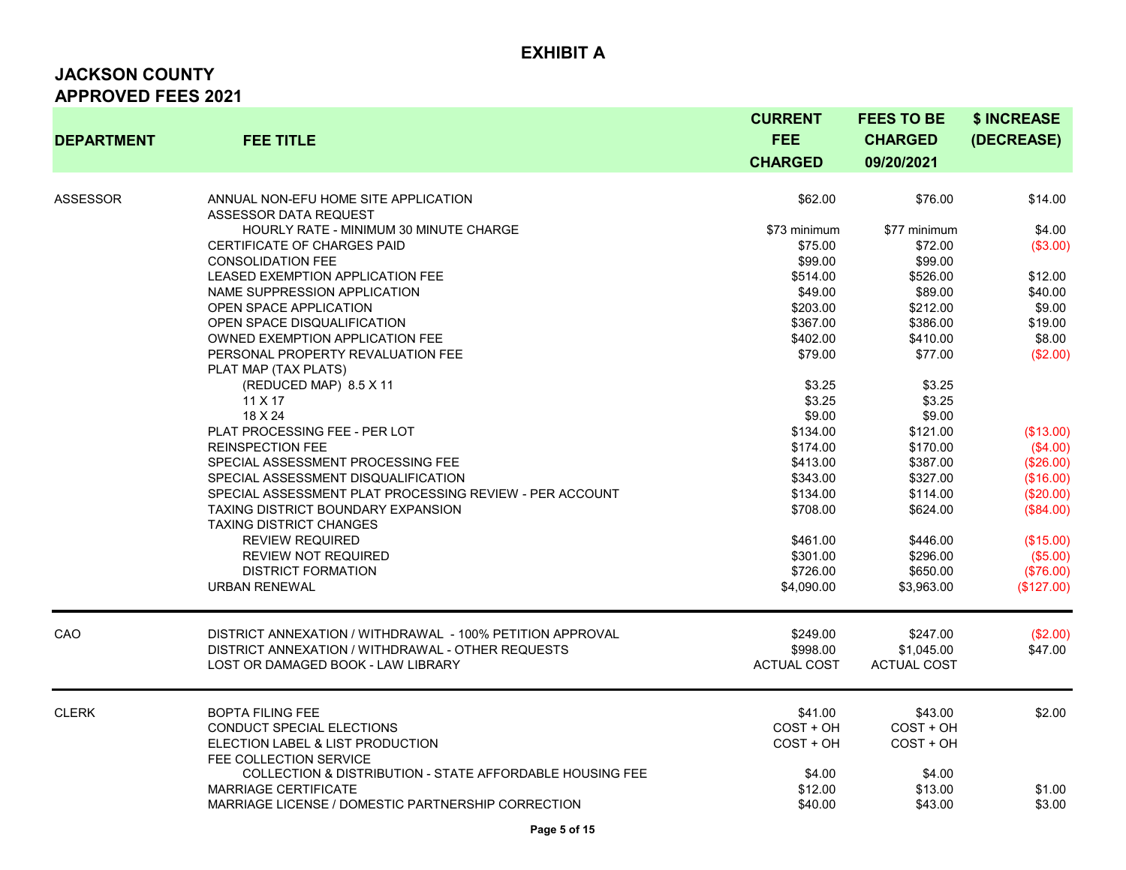| <b>DEPARTMENT</b> | <b>FEE TITLE</b>                                                                                                                                         | <b>CURRENT</b><br>FEE<br><b>CHARGED</b> | <b>FEES TO BE</b><br><b>CHARGED</b><br>09/20/2021 | \$ INCREASE<br>(DECREASE)             |
|-------------------|----------------------------------------------------------------------------------------------------------------------------------------------------------|-----------------------------------------|---------------------------------------------------|---------------------------------------|
| <b>ASSESSOR</b>   | ANNUAL NON-EFU HOME SITE APPLICATION<br><b>ASSESSOR DATA REQUEST</b>                                                                                     | \$62.00                                 | \$76.00                                           | \$14.00                               |
|                   | HOURLY RATE - MINIMUM 30 MINUTE CHARGE<br>CERTIFICATE OF CHARGES PAID<br><b>CONSOLIDATION FEE</b>                                                        | \$73 minimum<br>\$75.00<br>\$99.00      | \$77 minimum<br>\$72.00<br>\$99.00                | \$4.00<br>(\$3.00)                    |
|                   | LEASED EXEMPTION APPLICATION FEE<br>NAME SUPPRESSION APPLICATION<br><b>OPEN SPACE APPLICATION</b>                                                        | \$514.00<br>\$49.00<br>\$203.00         | \$526.00<br>\$89.00<br>\$212.00                   | \$12.00<br>\$40.00<br>\$9.00          |
|                   | OPEN SPACE DISQUALIFICATION<br>OWNED EXEMPTION APPLICATION FEE<br>PERSONAL PROPERTY REVALUATION FEE                                                      | \$367.00<br>\$402.00<br>\$79.00         | \$386.00<br>\$410.00<br>\$77.00                   | \$19.00<br>\$8.00<br>(\$2.00)         |
|                   | PLAT MAP (TAX PLATS)<br>(REDUCED MAP) 8.5 X 11<br>11 X 17                                                                                                | \$3.25<br>\$3.25                        | \$3.25<br>\$3.25                                  |                                       |
|                   | 18 X 24<br>PLAT PROCESSING FEE - PER LOT<br><b>REINSPECTION FEE</b>                                                                                      | \$9.00<br>\$134.00<br>\$174.00          | \$9.00<br>\$121.00<br>\$170.00                    | (\$13.00)<br>(\$4.00)                 |
|                   | SPECIAL ASSESSMENT PROCESSING FEE<br>SPECIAL ASSESSMENT DISQUALIFICATION<br>SPECIAL ASSESSMENT PLAT PROCESSING REVIEW - PER ACCOUNT                      | \$413.00<br>\$343.00<br>\$134.00        | \$387.00<br>\$327.00<br>\$114.00                  | $(\$26.00)$<br>(\$16.00)<br>(\$20.00) |
|                   | <b>TAXING DISTRICT BOUNDARY EXPANSION</b><br><b>TAXING DISTRICT CHANGES</b><br><b>REVIEW REQUIRED</b>                                                    | \$708.00<br>\$461.00                    | \$624.00<br>\$446.00                              | (\$84.00)<br>(\$15.00)                |
|                   | <b>REVIEW NOT REQUIRED</b><br><b>DISTRICT FORMATION</b><br><b>URBAN RENEWAL</b>                                                                          | \$301.00<br>\$726.00<br>\$4,090.00      | \$296.00<br>\$650.00<br>\$3,963.00                | (\$5.00)<br>(\$76.00)<br>(\$127.00)   |
| CAO               | DISTRICT ANNEXATION / WITHDRAWAL - 100% PETITION APPROVAL                                                                                                | \$249.00                                | \$247.00                                          | (\$2.00)                              |
|                   | DISTRICT ANNEXATION / WITHDRAWAL - OTHER REQUESTS<br>LOST OR DAMAGED BOOK - LAW LIBRARY                                                                  | \$998.00<br><b>ACTUAL COST</b>          | \$1,045.00<br><b>ACTUAL COST</b>                  | \$47.00                               |
| <b>CLERK</b>      | <b>BOPTA FILING FEE</b><br>CONDUCT SPECIAL ELECTIONS<br>ELECTION LABEL & LIST PRODUCTION<br>FEE COLLECTION SERVICE                                       | \$41.00<br>$COST + OH$<br>COST + OH     | \$43.00<br>$COST + OH$<br>COST + OH               | \$2.00                                |
|                   | <b>COLLECTION &amp; DISTRIBUTION - STATE AFFORDABLE HOUSING FEE</b><br><b>MARRIAGE CERTIFICATE</b><br>MARRIAGE LICENSE / DOMESTIC PARTNERSHIP CORRECTION | \$4.00<br>\$12.00<br>\$40.00            | \$4.00<br>\$13.00<br>\$43.00                      | \$1.00<br>\$3.00                      |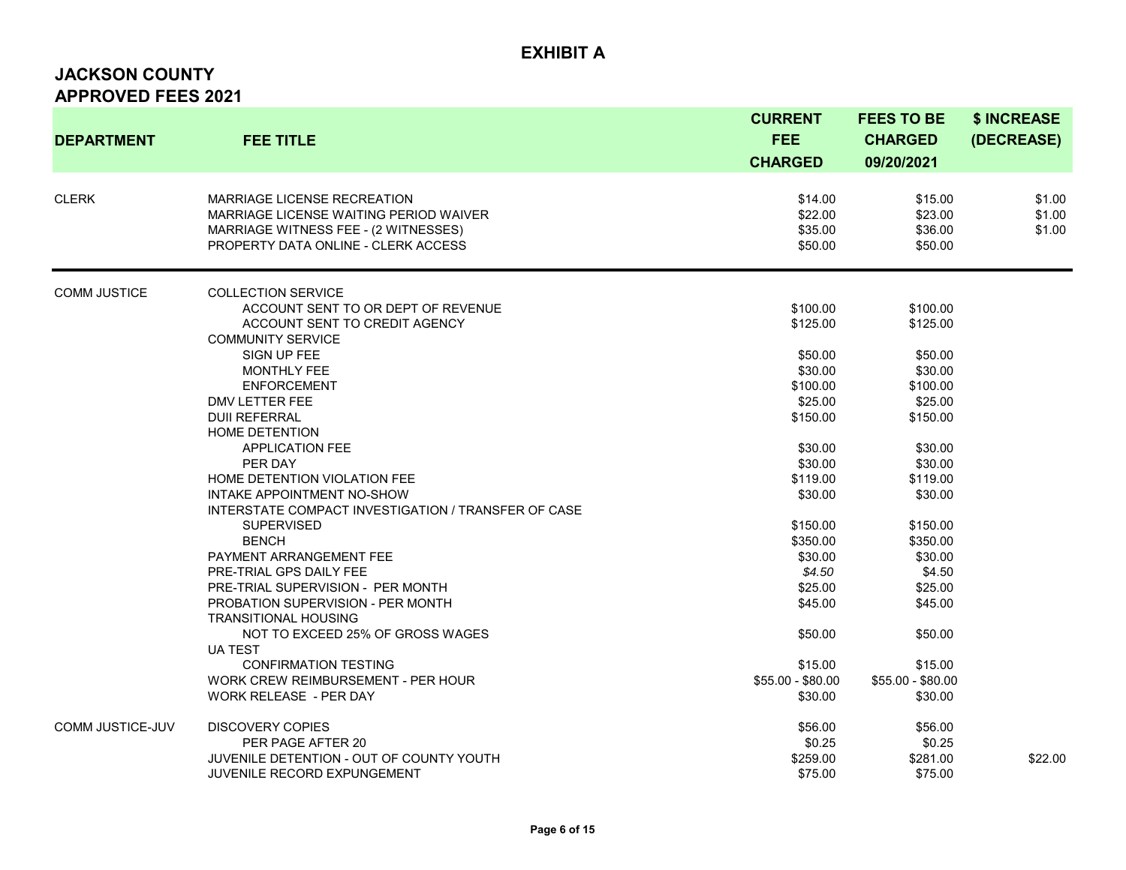| <b>DEPARTMENT</b>       | <b>FEE TITLE</b>                                                                                                                                                                                                                                                                                                                                                                                                                                                                                                                                                                                                                                             | <b>CURRENT</b><br><b>FEE</b><br><b>CHARGED</b>                                                                                                                                                           | <b>FEES TO BE</b><br><b>CHARGED</b><br>09/20/2021                                                                                                                                                        | \$ INCREASE<br>(DECREASE)  |
|-------------------------|--------------------------------------------------------------------------------------------------------------------------------------------------------------------------------------------------------------------------------------------------------------------------------------------------------------------------------------------------------------------------------------------------------------------------------------------------------------------------------------------------------------------------------------------------------------------------------------------------------------------------------------------------------------|----------------------------------------------------------------------------------------------------------------------------------------------------------------------------------------------------------|----------------------------------------------------------------------------------------------------------------------------------------------------------------------------------------------------------|----------------------------|
| <b>CLERK</b>            | MARRIAGE LICENSE RECREATION<br>MARRIAGE LICENSE WAITING PERIOD WAIVER<br>MARRIAGE WITNESS FEE - (2 WITNESSES)<br>PROPERTY DATA ONLINE - CLERK ACCESS                                                                                                                                                                                                                                                                                                                                                                                                                                                                                                         | \$14.00<br>\$22.00<br>\$35.00<br>\$50.00                                                                                                                                                                 | \$15.00<br>\$23.00<br>\$36.00<br>\$50.00                                                                                                                                                                 | \$1.00<br>\$1.00<br>\$1.00 |
| <b>COMM JUSTICE</b>     | <b>COLLECTION SERVICE</b><br>ACCOUNT SENT TO OR DEPT OF REVENUE<br>ACCOUNT SENT TO CREDIT AGENCY<br><b>COMMUNITY SERVICE</b><br>SIGN UP FEE<br><b>MONTHLY FEE</b><br><b>ENFORCEMENT</b><br>DMV LETTER FEE<br><b>DUII REFERRAL</b><br><b>HOME DETENTION</b><br><b>APPLICATION FEE</b><br>PER DAY<br>HOME DETENTION VIOLATION FEE<br>INTAKE APPOINTMENT NO-SHOW<br>INTERSTATE COMPACT INVESTIGATION / TRANSFER OF CASE<br><b>SUPERVISED</b><br><b>BENCH</b><br>PAYMENT ARRANGEMENT FEE<br>PRE-TRIAL GPS DAILY FEE<br>PRE-TRIAL SUPERVISION - PER MONTH<br>PROBATION SUPERVISION - PER MONTH<br><b>TRANSITIONAL HOUSING</b><br>NOT TO EXCEED 25% OF GROSS WAGES | \$100.00<br>\$125.00<br>\$50.00<br>\$30.00<br>\$100.00<br>\$25.00<br>\$150.00<br>\$30.00<br>\$30.00<br>\$119.00<br>\$30.00<br>\$150.00<br>\$350.00<br>\$30.00<br>\$4.50<br>\$25.00<br>\$45.00<br>\$50.00 | \$100.00<br>\$125.00<br>\$50.00<br>\$30.00<br>\$100.00<br>\$25.00<br>\$150.00<br>\$30.00<br>\$30.00<br>\$119.00<br>\$30.00<br>\$150.00<br>\$350.00<br>\$30.00<br>\$4.50<br>\$25.00<br>\$45.00<br>\$50.00 |                            |
|                         | <b>UA TEST</b><br><b>CONFIRMATION TESTING</b><br>WORK CREW REIMBURSEMENT - PER HOUR<br><b>WORK RELEASE - PER DAY</b>                                                                                                                                                                                                                                                                                                                                                                                                                                                                                                                                         | \$15.00<br>$$55.00 - $80.00$<br>\$30.00                                                                                                                                                                  | \$15.00<br>$$55.00 - $80.00$<br>\$30.00                                                                                                                                                                  |                            |
| <b>COMM JUSTICE-JUV</b> | <b>DISCOVERY COPIES</b><br>PER PAGE AFTER 20<br>JUVENILE DETENTION - OUT OF COUNTY YOUTH<br><b>JUVENILE RECORD EXPUNGEMENT</b>                                                                                                                                                                                                                                                                                                                                                                                                                                                                                                                               | \$56.00<br>\$0.25<br>\$259.00<br>\$75.00                                                                                                                                                                 | \$56.00<br>\$0.25<br>\$281.00<br>\$75.00                                                                                                                                                                 | \$22.00                    |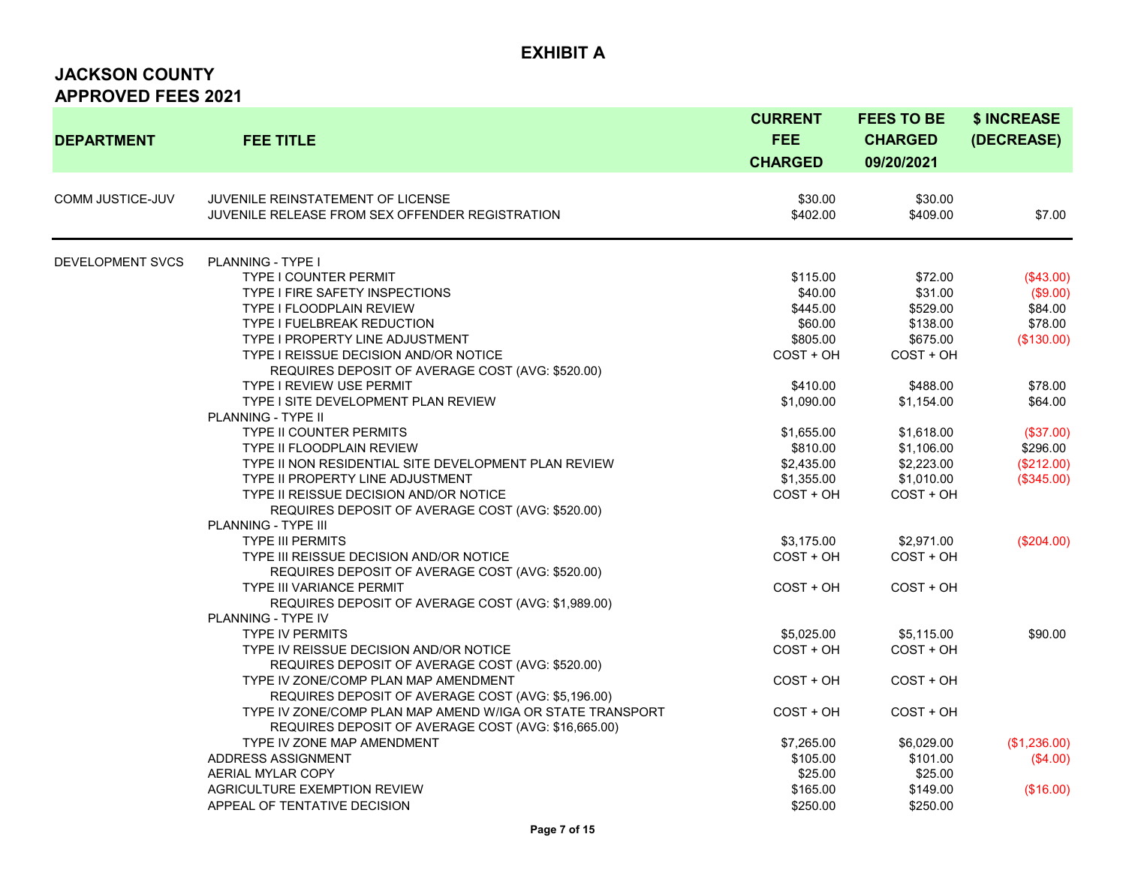# **EXHIBIT A**

| <b>DEPARTMENT</b>       | <b>FEE TITLE</b>                                                                           | <b>CURRENT</b><br><b>FEE</b><br><b>CHARGED</b> | <b>FEES TO BE</b><br><b>CHARGED</b><br>09/20/2021 | \$ INCREASE<br>(DECREASE) |
|-------------------------|--------------------------------------------------------------------------------------------|------------------------------------------------|---------------------------------------------------|---------------------------|
| COMM JUSTICE-JUV        | JUVENILE REINSTATEMENT OF LICENSE<br>JUVENILE RELEASE FROM SEX OFFENDER REGISTRATION       | \$30.00<br>\$402.00                            | \$30.00<br>\$409.00                               | \$7.00                    |
| <b>DEVELOPMENT SVCS</b> | <b>PLANNING - TYPE I</b>                                                                   |                                                |                                                   |                           |
|                         | <b>TYPE I COUNTER PERMIT</b>                                                               | \$115.00                                       | \$72.00                                           | (\$43.00)                 |
|                         | <b>TYPE I FIRE SAFETY INSPECTIONS</b>                                                      | \$40.00                                        | \$31.00                                           | (\$9.00)                  |
|                         | <b>TYPE I FLOODPLAIN REVIEW</b>                                                            | \$445.00                                       | \$529.00                                          | \$84.00                   |
|                         | TYPE I FUELBREAK REDUCTION                                                                 | \$60.00                                        | \$138.00                                          | \$78.00                   |
|                         | TYPE I PROPERTY LINE ADJUSTMENT                                                            | \$805.00                                       | \$675.00                                          | (\$130.00)                |
|                         | TYPE I REISSUE DECISION AND/OR NOTICE<br>REQUIRES DEPOSIT OF AVERAGE COST (AVG: \$520.00)  | COST + OH                                      | COST + OH                                         |                           |
|                         | <b>TYPE I REVIEW USE PERMIT</b>                                                            | \$410.00                                       | \$488.00                                          | \$78.00                   |
|                         | TYPE I SITE DEVELOPMENT PLAN REVIEW                                                        | \$1,090.00                                     | \$1,154.00                                        | \$64.00                   |
|                         | <b>PLANNING - TYPE II</b>                                                                  |                                                |                                                   |                           |
|                         | <b>TYPE II COUNTER PERMITS</b>                                                             | \$1,655.00                                     | \$1,618.00                                        | (\$37.00)                 |
|                         | <b>TYPE II FLOODPLAIN REVIEW</b>                                                           | \$810.00                                       | \$1,106.00                                        | \$296.00                  |
|                         | TYPE II NON RESIDENTIAL SITE DEVELOPMENT PLAN REVIEW                                       | \$2,435.00                                     | \$2,223.00                                        | (\$212.00)                |
|                         | TYPE II PROPERTY LINE ADJUSTMENT                                                           | \$1,355.00                                     | \$1,010.00                                        | (\$345.00)                |
|                         | TYPE II REISSUE DECISION AND/OR NOTICE<br>REQUIRES DEPOSIT OF AVERAGE COST (AVG: \$520.00) | $COST + OH$                                    | COST + OH                                         |                           |
|                         | <b>PLANNING - TYPE III</b>                                                                 |                                                |                                                   |                           |
|                         | <b>TYPE III PERMITS</b>                                                                    | \$3,175.00                                     | \$2,971.00                                        | (\$204.00)                |
|                         | TYPE III REISSUE DECISION AND/OR NOTICE                                                    | $COST + OH$                                    | COST + OH                                         |                           |
|                         | REQUIRES DEPOSIT OF AVERAGE COST (AVG: \$520.00)                                           |                                                |                                                   |                           |
|                         | <b>TYPE III VARIANCE PERMIT</b>                                                            | $COST + OH$                                    | COST + OH                                         |                           |
|                         | REQUIRES DEPOSIT OF AVERAGE COST (AVG: \$1,989.00)                                         |                                                |                                                   |                           |
|                         | <b>PLANNING - TYPE IV</b>                                                                  |                                                |                                                   |                           |
|                         | TYPE IV PERMITS                                                                            | \$5,025.00                                     | \$5,115.00                                        | \$90.00                   |
|                         | TYPE IV REISSUE DECISION AND/OR NOTICE                                                     | $COST + OH$                                    | COST + OH                                         |                           |
|                         | REQUIRES DEPOSIT OF AVERAGE COST (AVG: \$520.00)                                           |                                                |                                                   |                           |
|                         | TYPE IV ZONE/COMP PLAN MAP AMENDMENT                                                       | COST + OH                                      | COST + OH                                         |                           |
|                         | REQUIRES DEPOSIT OF AVERAGE COST (AVG: \$5,196.00)                                         |                                                |                                                   |                           |
|                         | TYPE IV ZONE/COMP PLAN MAP AMEND W/IGA OR STATE TRANSPORT                                  | COST + OH                                      | COST + OH                                         |                           |
|                         | REQUIRES DEPOSIT OF AVERAGE COST (AVG: \$16,665.00)                                        |                                                |                                                   |                           |
|                         | TYPE IV ZONE MAP AMENDMENT                                                                 | \$7,265.00                                     | \$6,029.00                                        | (\$1,236.00)              |
|                         | ADDRESS ASSIGNMENT                                                                         | \$105.00                                       | \$101.00                                          | (\$4.00)                  |
|                         | AERIAL MYLAR COPY                                                                          | \$25.00                                        | \$25.00                                           |                           |
|                         | AGRICULTURE EXEMPTION REVIEW                                                               | \$165.00                                       | \$149.00                                          | (\$16.00)                 |
|                         | APPEAL OF TENTATIVE DECISION                                                               | \$250.00                                       | \$250.00                                          |                           |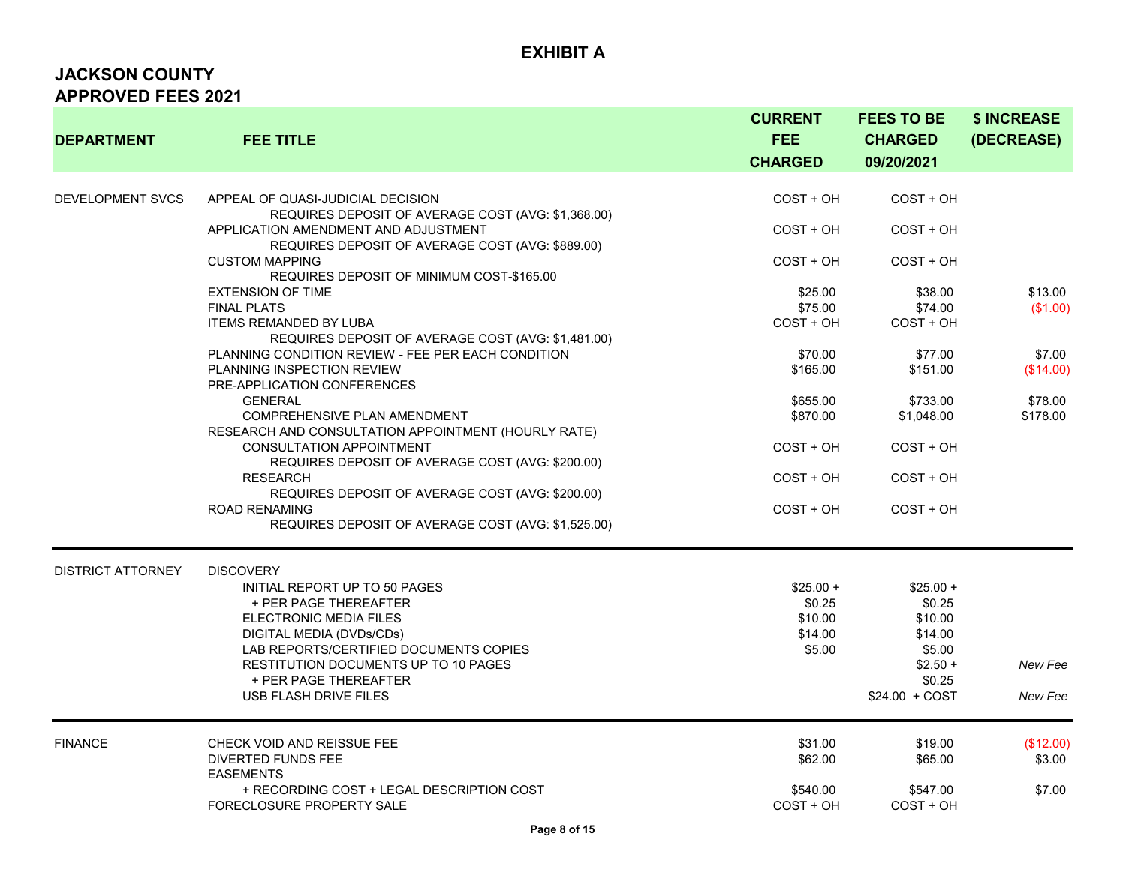| <b>DEPARTMENT</b>        | <b>FEE TITLE</b>                                                                           | <b>CURRENT</b><br><b>FEE</b><br><b>CHARGED</b> | <b>FEES TO BE</b><br><b>CHARGED</b><br>09/20/2021 | \$ INCREASE<br>(DECREASE) |
|--------------------------|--------------------------------------------------------------------------------------------|------------------------------------------------|---------------------------------------------------|---------------------------|
| <b>DEVELOPMENT SVCS</b>  | APPEAL OF QUASI-JUDICIAL DECISION<br>REQUIRES DEPOSIT OF AVERAGE COST (AVG: \$1,368.00)    | $COST + OH$                                    | $COST + OH$                                       |                           |
|                          | APPLICATION AMENDMENT AND ADJUSTMENT<br>REQUIRES DEPOSIT OF AVERAGE COST (AVG: \$889.00)   | $COST + OH$                                    | COST + OH                                         |                           |
|                          | <b>CUSTOM MAPPING</b><br>REQUIRES DEPOSIT OF MINIMUM COST-\$165.00                         | COST + OH                                      | COST + OH                                         |                           |
|                          | <b>EXTENSION OF TIME</b>                                                                   | \$25.00                                        | \$38.00                                           | \$13.00                   |
|                          | <b>FINAL PLATS</b>                                                                         | \$75.00                                        | \$74.00                                           | (\$1.00)                  |
|                          | <b>ITEMS REMANDED BY LUBA</b><br>REQUIRES DEPOSIT OF AVERAGE COST (AVG: \$1,481.00)        | COST + OH                                      | $COST + OH$                                       |                           |
|                          | PLANNING CONDITION REVIEW - FEE PER EACH CONDITION                                         | \$70.00                                        | \$77.00                                           | \$7.00                    |
|                          | PLANNING INSPECTION REVIEW<br>PRE-APPLICATION CONFERENCES                                  | \$165.00                                       | \$151.00                                          | (\$14.00)                 |
|                          | <b>GENERAL</b>                                                                             | \$655.00                                       | \$733.00                                          | \$78.00                   |
|                          | COMPREHENSIVE PLAN AMENDMENT<br>RESEARCH AND CONSULTATION APPOINTMENT (HOURLY RATE)        | \$870.00                                       | \$1,048.00                                        | \$178.00                  |
|                          | <b>CONSULTATION APPOINTMENT</b><br>REQUIRES DEPOSIT OF AVERAGE COST (AVG: \$200.00)        | COST + OH                                      | COST + OH                                         |                           |
|                          | <b>RESEARCH</b><br>REQUIRES DEPOSIT OF AVERAGE COST (AVG: \$200.00)                        | COST + OH                                      | COST + OH                                         |                           |
|                          | <b>ROAD RENAMING</b><br>REQUIRES DEPOSIT OF AVERAGE COST (AVG: \$1,525.00)                 | COST + OH                                      | COST + OH                                         |                           |
| <b>DISTRICT ATTORNEY</b> | <b>DISCOVERY</b>                                                                           |                                                |                                                   |                           |
|                          | INITIAL REPORT UP TO 50 PAGES                                                              | $$25.00 +$                                     | $$25.00 +$                                        |                           |
|                          | + PER PAGE THEREAFTER                                                                      | \$0.25                                         | \$0.25                                            |                           |
|                          | ELECTRONIC MEDIA FILES<br>DIGITAL MEDIA (DVDs/CDs)                                         | \$10.00<br>\$14.00                             | \$10.00<br>\$14.00                                |                           |
|                          | LAB REPORTS/CERTIFIED DOCUMENTS COPIES                                                     | \$5.00                                         | \$5.00                                            |                           |
|                          | <b>RESTITUTION DOCUMENTS UP TO 10 PAGES</b>                                                |                                                | $$2.50 +$                                         | New Fee                   |
|                          | + PER PAGE THEREAFTER                                                                      |                                                | \$0.25                                            |                           |
|                          | USB FLASH DRIVE FILES                                                                      |                                                | $$24.00 + COST$                                   | New Fee                   |
| <b>FINANCE</b>           | CHECK VOID AND REISSUE FEE                                                                 | \$31.00                                        | \$19.00                                           | (\$12.00)                 |
|                          | <b>DIVERTED FUNDS FEE</b>                                                                  | \$62.00                                        | \$65.00                                           | \$3.00                    |
|                          | <b>EASEMENTS</b><br>+ RECORDING COST + LEGAL DESCRIPTION COST<br>FORECLOSURE PROPERTY SALE | \$540.00<br>COST + OH                          | \$547.00<br>$COST + OH$                           | \$7.00                    |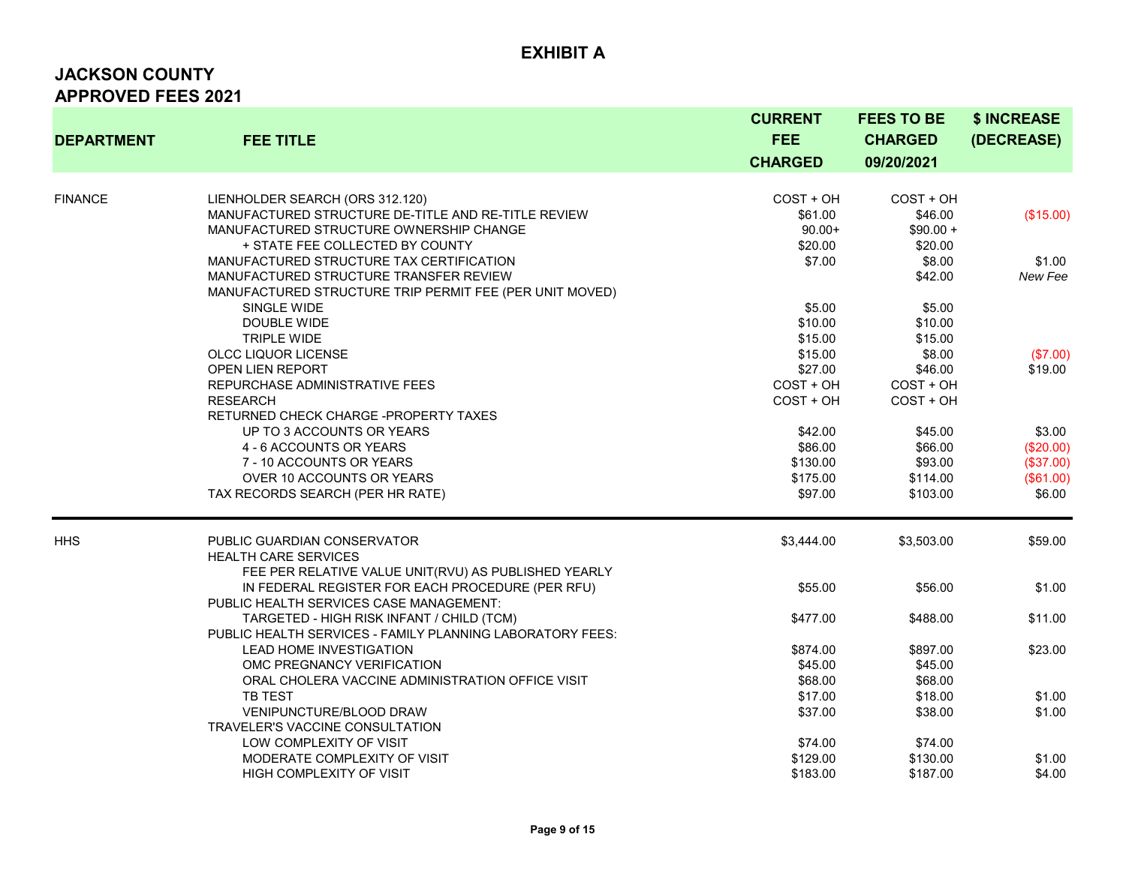| <b>DEPARTMENT</b> | <b>FEE TITLE</b>                                                                                                                                                                                  | <b>CURRENT</b><br><b>FEE</b><br><b>CHARGED</b>        | <b>FEES TO BE</b><br><b>CHARGED</b><br>09/20/2021     | \$ INCREASE<br>(DECREASE)                               |
|-------------------|---------------------------------------------------------------------------------------------------------------------------------------------------------------------------------------------------|-------------------------------------------------------|-------------------------------------------------------|---------------------------------------------------------|
|                   |                                                                                                                                                                                                   |                                                       |                                                       |                                                         |
| <b>FINANCE</b>    | LIENHOLDER SEARCH (ORS 312.120)<br>MANUFACTURED STRUCTURE DE-TITLE AND RE-TITLE REVIEW<br>MANUFACTURED STRUCTURE OWNERSHIP CHANGE<br>+ STATE FEE COLLECTED BY COUNTY                              | $COST + OH$<br>\$61.00<br>$90.00+$<br>\$20.00         | $COST + OH$<br>\$46.00<br>$$90.00 +$<br>\$20.00       | (\$15.00)                                               |
|                   | MANUFACTURED STRUCTURE TAX CERTIFICATION<br>MANUFACTURED STRUCTURE TRANSFER REVIEW<br>MANUFACTURED STRUCTURE TRIP PERMIT FEE (PER UNIT MOVED)                                                     | \$7.00                                                | \$8.00<br>\$42.00                                     | \$1.00<br>New Fee                                       |
|                   | SINGLE WIDE<br>DOUBLE WIDE<br><b>TRIPLE WIDE</b>                                                                                                                                                  | \$5.00<br>\$10.00<br>\$15.00                          | \$5.00<br>\$10.00<br>\$15.00                          |                                                         |
|                   | OLCC LIQUOR LICENSE<br><b>OPEN LIEN REPORT</b><br>REPURCHASE ADMINISTRATIVE FEES<br><b>RESEARCH</b>                                                                                               | \$15.00<br>\$27.00<br>$COST + OH$<br>$COST + OH$      | \$8.00<br>\$46.00<br>$COST + OH$<br>$COST + OH$       | (\$7.00)<br>\$19.00                                     |
|                   | RETURNED CHECK CHARGE -PROPERTY TAXES<br>UP TO 3 ACCOUNTS OR YEARS<br>4 - 6 ACCOUNTS OR YEARS<br>7 - 10 ACCOUNTS OR YEARS<br><b>OVER 10 ACCOUNTS OR YEARS</b><br>TAX RECORDS SEARCH (PER HR RATE) | \$42.00<br>\$86.00<br>\$130.00<br>\$175.00<br>\$97.00 | \$45.00<br>\$66.00<br>\$93.00<br>\$114.00<br>\$103.00 | \$3.00<br>(\$20.00)<br>(\$37.00)<br>(\$61.00)<br>\$6.00 |
| <b>HHS</b>        | PUBLIC GUARDIAN CONSERVATOR<br>HEALTH CARE SERVICES                                                                                                                                               | \$3.444.00                                            | \$3,503.00                                            | \$59.00                                                 |
|                   | FEE PER RELATIVE VALUE UNIT(RVU) AS PUBLISHED YEARLY<br>IN FEDERAL REGISTER FOR EACH PROCEDURE (PER RFU)<br>PUBLIC HEALTH SERVICES CASE MANAGEMENT:                                               | \$55.00                                               | \$56.00                                               | \$1.00                                                  |
|                   | TARGETED - HIGH RISK INFANT / CHILD (TCM)<br>PUBLIC HEALTH SERVICES - FAMILY PLANNING LABORATORY FEES:                                                                                            | \$477.00                                              | \$488.00                                              | \$11.00                                                 |
|                   | <b>LEAD HOME INVESTIGATION</b><br>OMC PREGNANCY VERIFICATION<br>ORAL CHOLERA VACCINE ADMINISTRATION OFFICE VISIT                                                                                  | \$874.00<br>\$45.00<br>\$68.00                        | \$897.00<br>\$45.00<br>\$68.00                        | \$23.00                                                 |
|                   | TB TEST<br>VENIPUNCTURE/BLOOD DRAW<br><b>TRAVELER'S VACCINE CONSULTATION</b>                                                                                                                      | \$17.00<br>\$37.00                                    | \$18.00<br>\$38.00                                    | \$1.00<br>\$1.00                                        |
|                   | LOW COMPLEXITY OF VISIT<br>MODERATE COMPLEXITY OF VISIT<br>HIGH COMPLEXITY OF VISIT                                                                                                               | \$74.00<br>\$129.00<br>\$183.00                       | \$74.00<br>\$130.00<br>\$187.00                       | \$1.00<br>\$4.00                                        |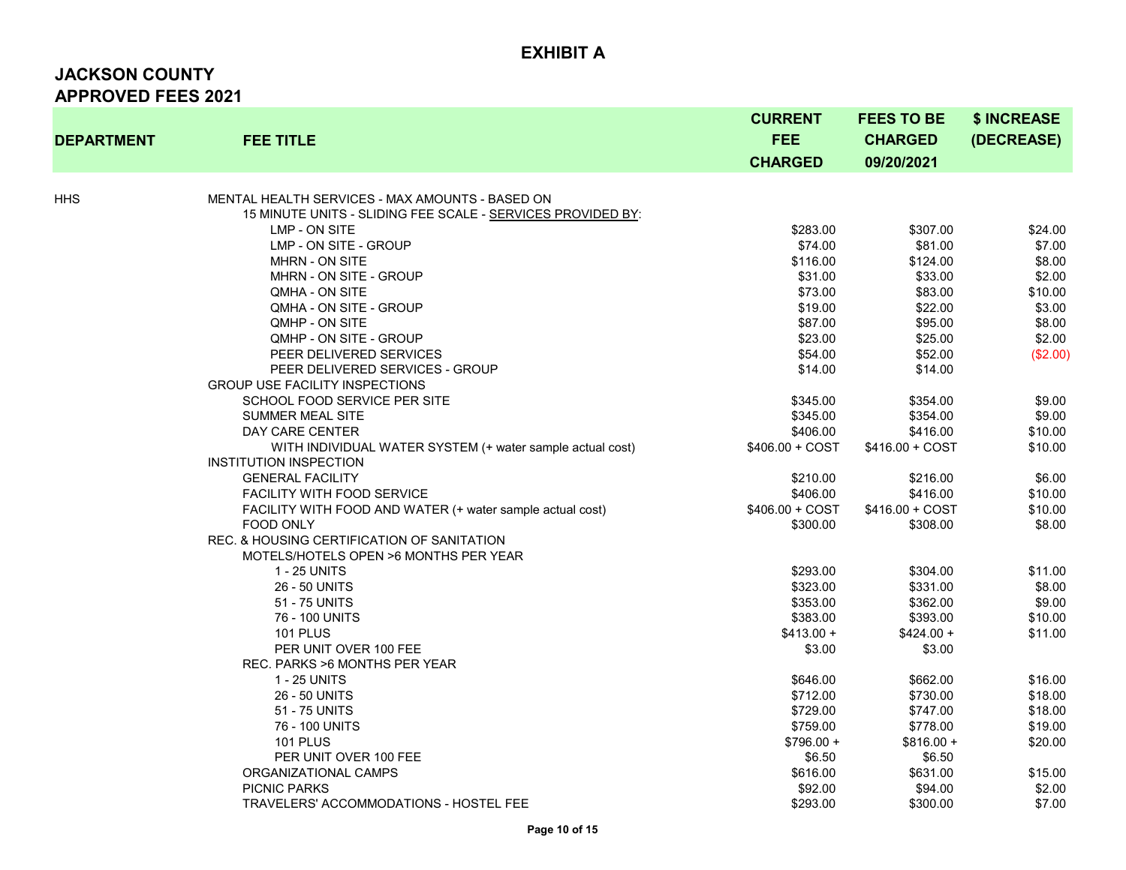| <b>DEPARTMENT</b> | <b>FEE TITLE</b>                                            | <b>CURRENT</b><br><b>FEE</b><br><b>CHARGED</b> | <b>FEES TO BE</b><br><b>CHARGED</b><br>09/20/2021 | \$ INCREASE<br>(DECREASE) |
|-------------------|-------------------------------------------------------------|------------------------------------------------|---------------------------------------------------|---------------------------|
|                   |                                                             |                                                |                                                   |                           |
| HHS               | MENTAL HEALTH SERVICES - MAX AMOUNTS - BASED ON             |                                                |                                                   |                           |
|                   | 15 MINUTE UNITS - SLIDING FEE SCALE - SERVICES PROVIDED BY: |                                                |                                                   |                           |
|                   | LMP - ON SITE                                               | \$283.00                                       | \$307.00                                          | \$24.00                   |
|                   | LMP - ON SITE - GROUP                                       | \$74.00                                        | \$81.00                                           | \$7.00                    |
|                   | <b>MHRN - ON SITE</b>                                       | \$116.00                                       | \$124.00                                          | \$8.00                    |
|                   | MHRN - ON SITE - GROUP                                      | \$31.00                                        | \$33.00                                           | \$2.00                    |
|                   | QMHA - ON SITE                                              | \$73.00                                        | \$83.00                                           | \$10.00                   |
|                   | QMHA - ON SITE - GROUP                                      | \$19.00                                        | \$22.00                                           | \$3.00                    |
|                   | QMHP - ON SITE                                              | \$87.00                                        | \$95.00                                           | \$8.00                    |
|                   | QMHP - ON SITE - GROUP                                      | \$23.00                                        | \$25.00                                           | \$2.00                    |
|                   | PEER DELIVERED SERVICES                                     | \$54.00                                        | \$52.00                                           | (\$2.00)                  |
|                   | PEER DELIVERED SERVICES - GROUP                             | \$14.00                                        | \$14.00                                           |                           |
|                   | <b>GROUP USE FACILITY INSPECTIONS</b>                       |                                                |                                                   |                           |
|                   | SCHOOL FOOD SERVICE PER SITE                                | \$345.00                                       | \$354.00                                          | \$9.00                    |
|                   | <b>SUMMER MEAL SITE</b>                                     | \$345.00                                       | \$354.00                                          | \$9.00                    |
|                   | DAY CARE CENTER                                             | \$406.00                                       | \$416.00                                          | \$10.00                   |
|                   | WITH INDIVIDUAL WATER SYSTEM (+ water sample actual cost)   | $$406.00 + COST$                               | $$416.00 + COST$                                  | \$10.00                   |
|                   | <b>INSTITUTION INSPECTION</b>                               |                                                |                                                   |                           |
|                   | <b>GENERAL FACILITY</b>                                     | \$210.00                                       | \$216.00                                          | \$6.00                    |
|                   | <b>FACILITY WITH FOOD SERVICE</b>                           | \$406.00                                       | \$416.00                                          | \$10.00                   |
|                   | FACILITY WITH FOOD AND WATER (+ water sample actual cost)   | $$406.00 + COST$                               | $$416.00 + COST$                                  | \$10.00                   |
|                   | <b>FOOD ONLY</b>                                            | \$300.00                                       | \$308.00                                          | \$8.00                    |
|                   | REC. & HOUSING CERTIFICATION OF SANITATION                  |                                                |                                                   |                           |
|                   | MOTELS/HOTELS OPEN >6 MONTHS PER YEAR                       |                                                |                                                   |                           |
|                   | 1 - 25 UNITS                                                | \$293.00                                       | \$304.00                                          | \$11.00                   |
|                   | 26 - 50 UNITS                                               | \$323.00                                       | \$331.00                                          | \$8.00                    |
|                   | 51 - 75 UNITS                                               | \$353.00                                       | \$362.00                                          | \$9.00                    |
|                   | 76 - 100 UNITS                                              | \$383.00                                       | \$393.00                                          | \$10.00                   |
|                   | <b>101 PLUS</b>                                             | $$413.00 +$                                    | $$424.00 +$                                       | \$11.00                   |
|                   | PER UNIT OVER 100 FEE                                       | \$3.00                                         | \$3.00                                            |                           |
|                   | REC. PARKS >6 MONTHS PER YEAR                               |                                                |                                                   |                           |
|                   | 1 - 25 UNITS                                                | \$646.00                                       | \$662.00                                          | \$16.00                   |
|                   | 26 - 50 UNITS                                               | \$712.00                                       | \$730.00                                          | \$18.00                   |
|                   | 51 - 75 UNITS                                               | \$729.00                                       | \$747.00                                          | \$18.00                   |
|                   | 76 - 100 UNITS                                              | \$759.00                                       | \$778.00                                          | \$19.00                   |
|                   | <b>101 PLUS</b>                                             | $$796.00 +$                                    | $$816.00 +$                                       | \$20.00                   |
|                   | PER UNIT OVER 100 FEE                                       | \$6.50                                         | \$6.50                                            |                           |
|                   | ORGANIZATIONAL CAMPS                                        | \$616.00                                       | \$631.00                                          | \$15.00                   |
|                   | <b>PICNIC PARKS</b>                                         | \$92.00                                        | \$94.00                                           | \$2.00                    |
|                   | TRAVELERS' ACCOMMODATIONS - HOSTEL FEE                      | \$293.00                                       | \$300.00                                          | \$7.00                    |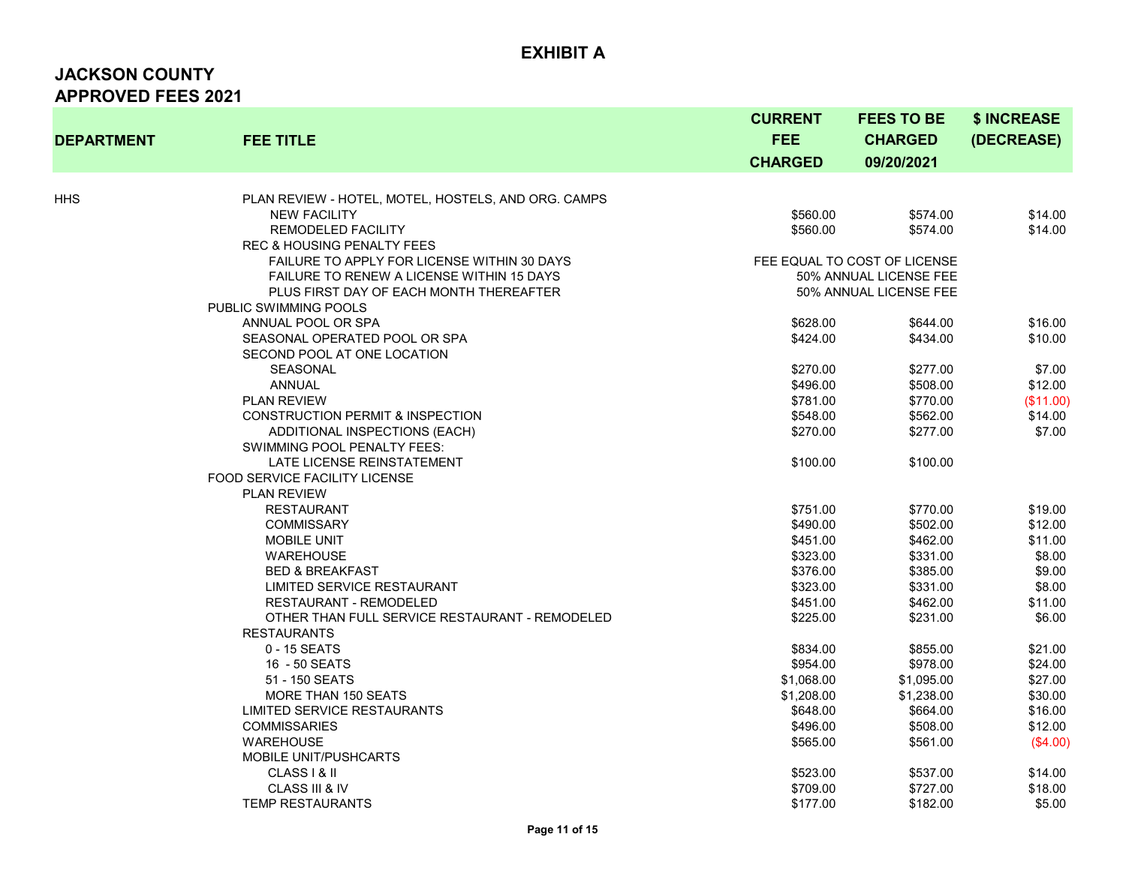| <b>DEPARTMENT</b> | <b>FEE TITLE</b>                                                    | <b>CURRENT</b><br><b>FEE</b><br><b>CHARGED</b> | <b>FEES TO BE</b><br><b>CHARGED</b><br>09/20/2021 | \$ INCREASE<br>(DECREASE) |
|-------------------|---------------------------------------------------------------------|------------------------------------------------|---------------------------------------------------|---------------------------|
|                   |                                                                     |                                                |                                                   |                           |
| HHS               | PLAN REVIEW - HOTEL, MOTEL, HOSTELS, AND ORG. CAMPS                 |                                                |                                                   |                           |
|                   | <b>NEW FACILITY</b><br>REMODELED FACILITY                           | \$560.00<br>\$560.00                           | \$574.00<br>\$574.00                              | \$14.00<br>\$14.00        |
|                   | <b>REC &amp; HOUSING PENALTY FEES</b>                               |                                                |                                                   |                           |
|                   | FAILURE TO APPLY FOR LICENSE WITHIN 30 DAYS                         |                                                | FEE EQUAL TO COST OF LICENSE                      |                           |
|                   | <b>FAILURE TO RENEW A LICENSE WITHIN 15 DAYS</b>                    |                                                | 50% ANNUAL LICENSE FEE                            |                           |
|                   | PLUS FIRST DAY OF EACH MONTH THEREAFTER                             |                                                | 50% ANNUAL LICENSE FEE                            |                           |
|                   | PUBLIC SWIMMING POOLS                                               |                                                |                                                   |                           |
|                   | ANNUAL POOL OR SPA                                                  | \$628.00                                       | \$644.00                                          | \$16.00                   |
|                   | SEASONAL OPERATED POOL OR SPA                                       | \$424.00                                       | \$434.00                                          | \$10.00                   |
|                   | SECOND POOL AT ONE LOCATION                                         |                                                |                                                   |                           |
|                   | <b>SEASONAL</b>                                                     | \$270.00                                       | \$277.00                                          | \$7.00                    |
|                   | <b>ANNUAL</b>                                                       | \$496.00                                       | \$508.00                                          | \$12.00                   |
|                   | <b>PLAN REVIEW</b>                                                  | \$781.00                                       | \$770.00                                          | (\$11.00)                 |
|                   | <b>CONSTRUCTION PERMIT &amp; INSPECTION</b>                         | \$548.00                                       | \$562.00                                          | \$14.00                   |
|                   | ADDITIONAL INSPECTIONS (EACH)<br><b>SWIMMING POOL PENALTY FEES:</b> | \$270.00                                       | \$277.00                                          | \$7.00                    |
|                   | LATE LICENSE REINSTATEMENT                                          | \$100.00                                       | \$100.00                                          |                           |
|                   | <b>FOOD SERVICE FACILITY LICENSE</b>                                |                                                |                                                   |                           |
|                   | <b>PLAN REVIEW</b>                                                  |                                                |                                                   |                           |
|                   | <b>RESTAURANT</b>                                                   | \$751.00                                       | \$770.00                                          | \$19.00                   |
|                   | <b>COMMISSARY</b>                                                   | \$490.00                                       | \$502.00                                          | \$12.00                   |
|                   | <b>MOBILE UNIT</b>                                                  | \$451.00                                       | \$462.00                                          | \$11.00                   |
|                   | <b>WAREHOUSE</b>                                                    | \$323.00                                       | \$331.00                                          | \$8.00                    |
|                   | <b>BED &amp; BREAKFAST</b>                                          | \$376.00                                       | \$385.00                                          | \$9.00                    |
|                   | <b>LIMITED SERVICE RESTAURANT</b>                                   | \$323.00                                       | \$331.00                                          | \$8.00                    |
|                   | RESTAURANT - REMODELED                                              | \$451.00                                       | \$462.00                                          | \$11.00                   |
|                   | OTHER THAN FULL SERVICE RESTAURANT - REMODELED                      | \$225.00                                       | \$231.00                                          | \$6.00                    |
|                   | <b>RESTAURANTS</b>                                                  |                                                |                                                   |                           |
|                   | 0 - 15 SEATS                                                        | \$834.00                                       | \$855.00                                          | \$21.00                   |
|                   | 16 - 50 SEATS                                                       | \$954.00                                       | \$978.00                                          | \$24.00                   |
|                   | 51 - 150 SEATS                                                      | \$1,068.00                                     | \$1.095.00                                        | \$27.00                   |
|                   | <b>MORE THAN 150 SEATS</b>                                          | \$1,208.00                                     | \$1,238.00                                        | \$30.00                   |
|                   | LIMITED SERVICE RESTAURANTS                                         | \$648.00                                       | \$664.00                                          | \$16.00                   |
|                   | <b>COMMISSARIES</b>                                                 | \$496.00<br>\$565.00                           | \$508.00                                          | \$12.00                   |
|                   | <b>WAREHOUSE</b><br>MOBILE UNIT/PUSHCARTS                           |                                                | \$561.00                                          | (\$4.00)                  |
|                   | CLASS   & II                                                        | \$523.00                                       | \$537.00                                          | \$14.00                   |
|                   | CLASS III & IV                                                      | \$709.00                                       | \$727.00                                          | \$18.00                   |
|                   | <b>TEMP RESTAURANTS</b>                                             | \$177.00                                       | \$182.00                                          | \$5.00                    |
|                   |                                                                     |                                                |                                                   |                           |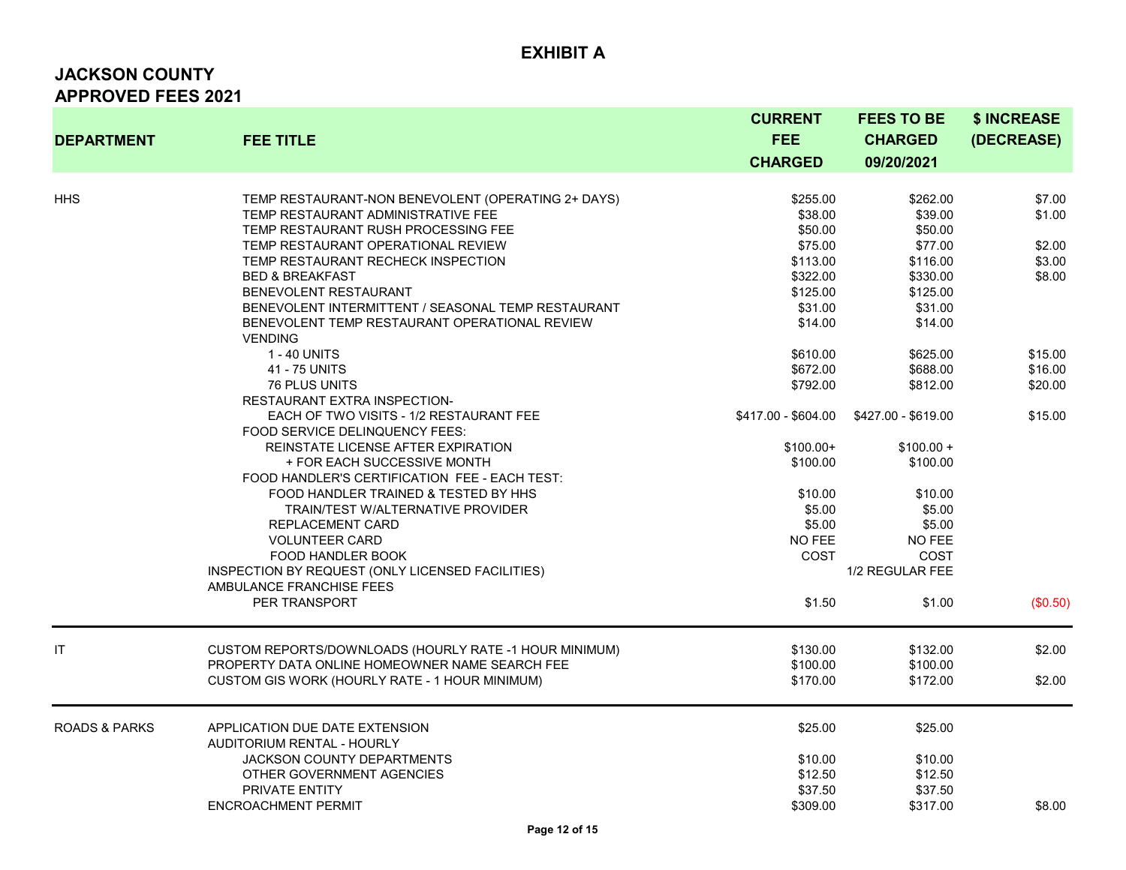| <b>DEPARTMENT</b>        |                                                        | <b>FEES TO BE</b>            | \$ INCREASE         |          |
|--------------------------|--------------------------------------------------------|------------------------------|---------------------|----------|
|                          | <b>FEE TITLE</b>                                       | <b>FEE</b><br><b>CHARGED</b> | (DECREASE)          |          |
|                          |                                                        | <b>CHARGED</b>               | 09/20/2021          |          |
|                          |                                                        |                              |                     |          |
| <b>HHS</b>               | TEMP RESTAURANT-NON BENEVOLENT (OPERATING 2+ DAYS)     | \$255.00                     | \$262.00            | \$7.00   |
|                          | TEMP RESTAURANT ADMINISTRATIVE FEE                     | \$38.00                      | \$39.00             | \$1.00   |
|                          | TEMP RESTAURANT RUSH PROCESSING FEE                    | \$50.00                      | \$50.00             |          |
|                          | TEMP RESTAURANT OPERATIONAL REVIEW                     | \$75.00                      | \$77.00             | \$2.00   |
|                          | TEMP RESTAURANT RECHECK INSPECTION                     | \$113.00                     | \$116.00            | \$3.00   |
|                          | <b>BED &amp; BREAKFAST</b>                             | \$322.00                     | \$330.00            | \$8.00   |
|                          | BENEVOLENT RESTAURANT                                  | \$125.00                     | \$125.00            |          |
|                          | BENEVOLENT INTERMITTENT / SEASONAL TEMP RESTAURANT     | \$31.00                      | \$31.00             |          |
|                          | BENEVOLENT TEMP RESTAURANT OPERATIONAL REVIEW          | \$14.00                      | \$14.00             |          |
|                          | <b>VENDING</b>                                         |                              |                     |          |
|                          | 1 - 40 UNITS                                           | \$610.00                     | \$625.00            | \$15.00  |
|                          | 41 - 75 UNITS                                          | \$672.00                     | \$688.00            | \$16.00  |
|                          | <b>76 PLUS UNITS</b>                                   | \$792.00                     | \$812.00            | \$20.00  |
|                          | RESTAURANT EXTRA INSPECTION-                           |                              |                     |          |
|                          | EACH OF TWO VISITS - 1/2 RESTAURANT FEE                | \$417.00 - \$604.00          | \$427.00 - \$619.00 | \$15.00  |
|                          | FOOD SERVICE DELINQUENCY FEES:                         |                              |                     |          |
|                          | REINSTATE LICENSE AFTER EXPIRATION                     | $$100.00+$                   | $$100.00 +$         |          |
|                          | + FOR EACH SUCCESSIVE MONTH                            | \$100.00                     | \$100.00            |          |
|                          | FOOD HANDLER'S CERTIFICATION FEE - EACH TEST:          |                              |                     |          |
|                          | FOOD HANDLER TRAINED & TESTED BY HHS                   | \$10.00                      | \$10.00             |          |
|                          | TRAIN/TEST W/ALTERNATIVE PROVIDER                      | \$5.00                       | \$5.00              |          |
|                          | REPLACEMENT CARD                                       | \$5.00                       | \$5.00              |          |
|                          | <b>VOLUNTEER CARD</b>                                  | <b>NO FEE</b>                | NO FEE              |          |
|                          | FOOD HANDLER BOOK                                      | COST                         | COST                |          |
|                          | INSPECTION BY REQUEST (ONLY LICENSED FACILITIES)       |                              | 1/2 REGULAR FEE     |          |
|                          | AMBULANCE FRANCHISE FEES                               |                              |                     |          |
|                          | <b>PER TRANSPORT</b>                                   | \$1.50                       | \$1.00              | (\$0.50) |
| IT                       | CUSTOM REPORTS/DOWNLOADS (HOURLY RATE -1 HOUR MINIMUM) | \$130.00                     | \$132.00            | \$2.00   |
|                          | PROPERTY DATA ONLINE HOMEOWNER NAME SEARCH FEE         | \$100.00                     | \$100.00            |          |
|                          | CUSTOM GIS WORK (HOURLY RATE - 1 HOUR MINIMUM)         | \$170.00                     | \$172.00            | \$2.00   |
|                          |                                                        |                              |                     |          |
| <b>ROADS &amp; PARKS</b> | APPLICATION DUE DATE EXTENSION                         | \$25.00                      | \$25.00             |          |
|                          | AUDITORIUM RENTAL - HOURLY                             |                              |                     |          |
|                          | <b>JACKSON COUNTY DEPARTMENTS</b>                      | \$10.00                      | \$10.00             |          |
|                          | OTHER GOVERNMENT AGENCIES                              | \$12.50                      | \$12.50             |          |
|                          | PRIVATE ENTITY                                         | \$37.50                      | \$37.50             |          |
|                          | <b>ENCROACHMENT PERMIT</b>                             | \$309.00                     | \$317.00            | \$8.00   |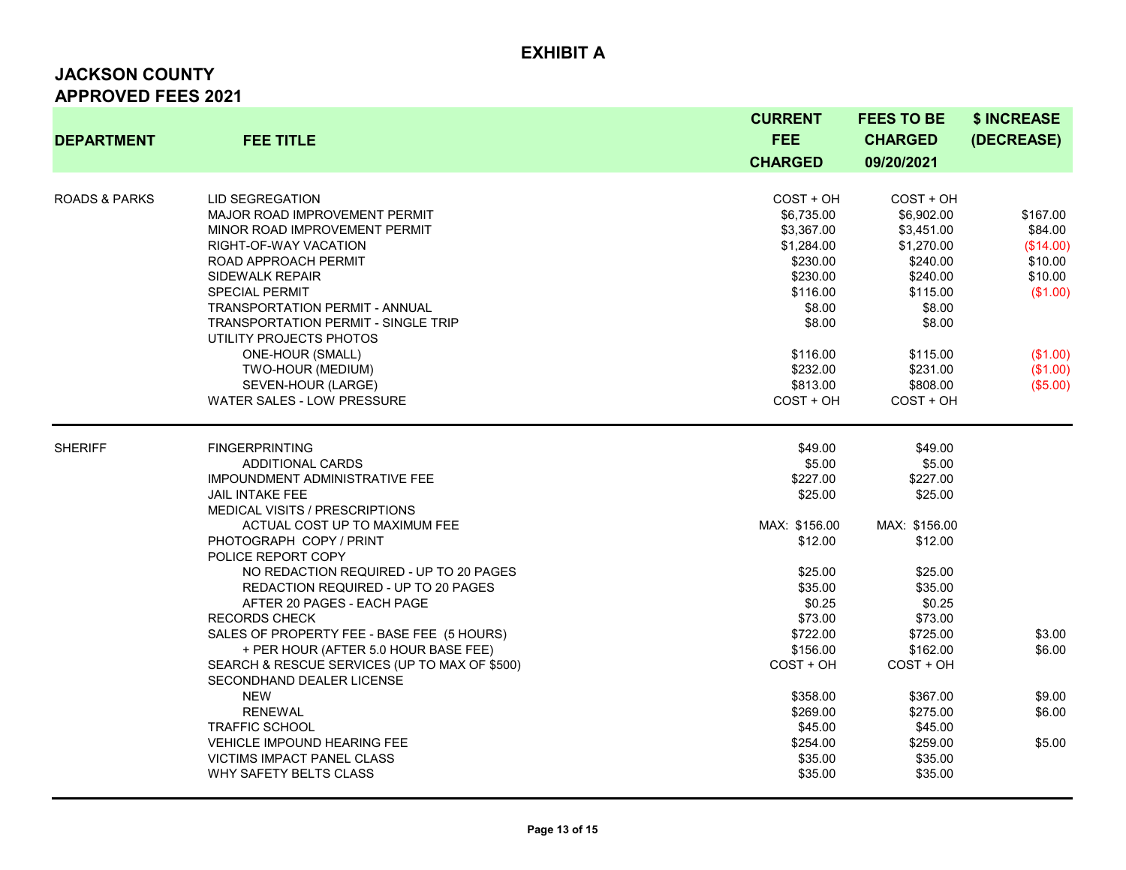| <b>DEPARTMENT</b>        | <b>FEE TITLE</b>                                                                                                                                                                                                                                                                                                                                                                                                                                                                                                                                                                                                                                                                                                        | <b>CURRENT</b><br><b>FEE</b><br><b>CHARGED</b>                                                                                                                                                                            | <b>FEES TO BE</b><br><b>CHARGED</b><br>09/20/2021                                                                                                                                                                           | \$ INCREASE<br>(DECREASE)                                                                              |
|--------------------------|-------------------------------------------------------------------------------------------------------------------------------------------------------------------------------------------------------------------------------------------------------------------------------------------------------------------------------------------------------------------------------------------------------------------------------------------------------------------------------------------------------------------------------------------------------------------------------------------------------------------------------------------------------------------------------------------------------------------------|---------------------------------------------------------------------------------------------------------------------------------------------------------------------------------------------------------------------------|-----------------------------------------------------------------------------------------------------------------------------------------------------------------------------------------------------------------------------|--------------------------------------------------------------------------------------------------------|
| <b>ROADS &amp; PARKS</b> | <b>LID SEGREGATION</b><br>MAJOR ROAD IMPROVEMENT PERMIT<br>MINOR ROAD IMPROVEMENT PERMIT<br>RIGHT-OF-WAY VACATION<br>ROAD APPROACH PERMIT<br>SIDEWALK REPAIR<br><b>SPECIAL PERMIT</b><br><b>TRANSPORTATION PERMIT - ANNUAL</b><br><b>TRANSPORTATION PERMIT - SINGLE TRIP</b><br>UTILITY PROJECTS PHOTOS<br>ONE-HOUR (SMALL)<br>TWO-HOUR (MEDIUM)<br>SEVEN-HOUR (LARGE)<br>WATER SALES - LOW PRESSURE                                                                                                                                                                                                                                                                                                                    | $COST + OH$<br>\$6,735.00<br>\$3,367.00<br>\$1,284.00<br>\$230.00<br>\$230.00<br>\$116.00<br>\$8.00<br>\$8.00<br>\$116.00<br>\$232.00<br>\$813.00<br>COST + OH                                                            | COST + OH<br>\$6,902.00<br>\$3,451.00<br>\$1,270.00<br>\$240.00<br>\$240.00<br>\$115.00<br>\$8.00<br>\$8.00<br>\$115.00<br>\$231.00<br>\$808.00<br>COST + OH                                                                | \$167.00<br>\$84.00<br>(\$14.00)<br>\$10.00<br>\$10.00<br>(\$1.00)<br>(\$1.00)<br>(\$1.00)<br>(\$5.00) |
| <b>SHERIFF</b>           | <b>FINGERPRINTING</b><br><b>ADDITIONAL CARDS</b><br><b>IMPOUNDMENT ADMINISTRATIVE FEE</b><br><b>JAIL INTAKE FEE</b><br><b>MEDICAL VISITS / PRESCRIPTIONS</b><br>ACTUAL COST UP TO MAXIMUM FEE<br>PHOTOGRAPH COPY / PRINT<br>POLICE REPORT COPY<br>NO REDACTION REQUIRED - UP TO 20 PAGES<br>REDACTION REQUIRED - UP TO 20 PAGES<br>AFTER 20 PAGES - EACH PAGE<br><b>RECORDS CHECK</b><br>SALES OF PROPERTY FEE - BASE FEE (5 HOURS)<br>+ PER HOUR (AFTER 5.0 HOUR BASE FEE)<br>SEARCH & RESCUE SERVICES (UP TO MAX OF \$500)<br>SECONDHAND DEALER LICENSE<br><b>NEW</b><br><b>RENEWAL</b><br><b>TRAFFIC SCHOOL</b><br><b>VEHICLE IMPOUND HEARING FEE</b><br><b>VICTIMS IMPACT PANEL CLASS</b><br>WHY SAFETY BELTS CLASS | \$49.00<br>\$5.00<br>\$227.00<br>\$25.00<br>MAX: \$156.00<br>\$12.00<br>\$25.00<br>\$35.00<br>\$0.25<br>\$73.00<br>\$722.00<br>\$156.00<br>COST + OH<br>\$358.00<br>\$269.00<br>\$45.00<br>\$254.00<br>\$35.00<br>\$35.00 | \$49.00<br>\$5.00<br>\$227.00<br>\$25.00<br>MAX: \$156.00<br>\$12.00<br>\$25.00<br>\$35.00<br>\$0.25<br>\$73.00<br>\$725.00<br>\$162.00<br>$COST + OH$<br>\$367.00<br>\$275.00<br>\$45.00<br>\$259.00<br>\$35.00<br>\$35.00 | \$3.00<br>\$6.00<br>\$9.00<br>\$6.00<br>\$5.00                                                         |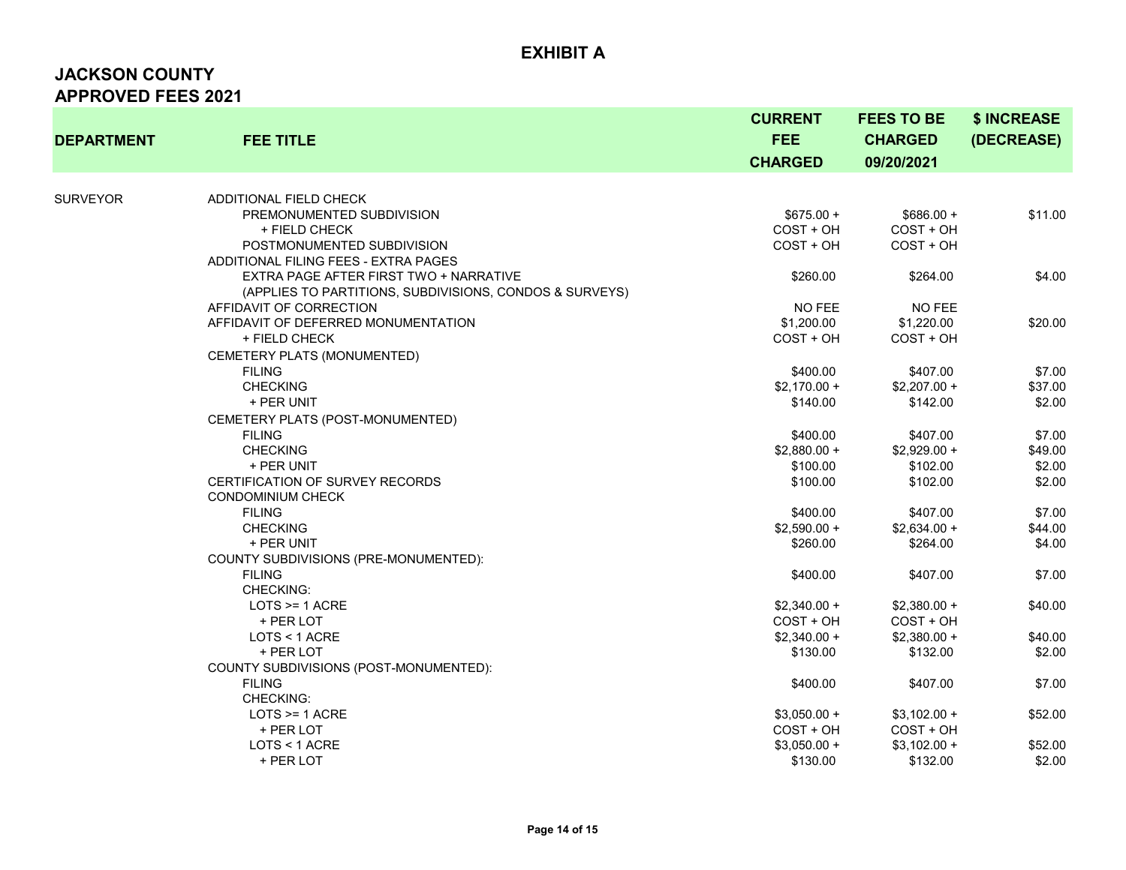| <b>DEPARTMENT</b> | <b>FEE TITLE</b>                                        | <b>CURRENT</b><br><b>FEE</b><br><b>CHARGED</b> | <b>FEES TO BE</b><br><b>CHARGED</b><br>09/20/2021 | \$ INCREASE<br>(DECREASE) |
|-------------------|---------------------------------------------------------|------------------------------------------------|---------------------------------------------------|---------------------------|
|                   |                                                         |                                                |                                                   |                           |
| SURVEYOR          | ADDITIONAL FIELD CHECK<br>PREMONUMENTED SUBDIVISION     | $$675.00 +$                                    | $$686.00 +$                                       | \$11.00                   |
|                   | + FIELD CHECK                                           | $COST + OH$                                    | $COST + OH$                                       |                           |
|                   | POSTMONUMENTED SUBDIVISION                              | $COST + OH$                                    | COST + OH                                         |                           |
|                   | ADDITIONAL FILING FEES - EXTRA PAGES                    |                                                |                                                   |                           |
|                   | EXTRA PAGE AFTER FIRST TWO + NARRATIVE                  | \$260.00                                       | \$264.00                                          | \$4.00                    |
|                   | (APPLIES TO PARTITIONS, SUBDIVISIONS, CONDOS & SURVEYS) |                                                |                                                   |                           |
|                   | AFFIDAVIT OF CORRECTION                                 | NO FEE                                         | NO FEE                                            |                           |
|                   | AFFIDAVIT OF DEFERRED MONUMENTATION                     | \$1,200.00                                     | \$1,220.00                                        | \$20.00                   |
|                   | + FIELD CHECK                                           | $COST + OH$                                    | $COST + OH$                                       |                           |
|                   | CEMETERY PLATS (MONUMENTED)                             |                                                |                                                   |                           |
|                   | <b>FILING</b>                                           | \$400.00                                       | \$407.00                                          | \$7.00                    |
|                   | <b>CHECKING</b>                                         | $$2,170.00+$                                   | $$2,207.00 +$                                     | \$37.00                   |
|                   | + PER UNIT                                              | \$140.00                                       | \$142.00                                          | \$2.00                    |
|                   | CEMETERY PLATS (POST-MONUMENTED)                        |                                                |                                                   |                           |
|                   | <b>FILING</b>                                           | \$400.00                                       | \$407.00                                          | \$7.00                    |
|                   | <b>CHECKING</b>                                         | $$2,880.00 +$                                  | $$2,929.00 +$                                     | \$49.00                   |
|                   | + PER UNIT                                              | \$100.00                                       | \$102.00                                          | \$2.00                    |
|                   | CERTIFICATION OF SURVEY RECORDS                         | \$100.00                                       | \$102.00                                          | \$2.00                    |
|                   | <b>CONDOMINIUM CHECK</b>                                |                                                |                                                   |                           |
|                   | <b>FILING</b>                                           | \$400.00                                       | \$407.00                                          | \$7.00                    |
|                   | <b>CHECKING</b>                                         | $$2,590.00 +$                                  | $$2,634.00 +$                                     | \$44.00                   |
|                   | + PER UNIT                                              | \$260.00                                       | \$264.00                                          | \$4.00                    |
|                   | COUNTY SUBDIVISIONS (PRE-MONUMENTED):                   |                                                |                                                   |                           |
|                   | <b>FILING</b>                                           | \$400.00                                       | \$407.00                                          | \$7.00                    |
|                   | <b>CHECKING:</b>                                        |                                                |                                                   |                           |
|                   | $LOTS \ge 1$ ACRE                                       | $$2,340.00 +$                                  | $$2,380.00 +$                                     | \$40.00                   |
|                   | + PER LOT                                               | $COST + OH$                                    | $COST + OH$                                       |                           |
|                   | $LOTS < 1$ ACRE                                         | $$2,340.00 +$                                  | $$2,380.00 +$                                     | \$40.00                   |
|                   | + PER LOT                                               | \$130.00                                       | \$132.00                                          | \$2.00                    |
|                   | COUNTY SUBDIVISIONS (POST-MONUMENTED):                  |                                                |                                                   |                           |
|                   | <b>FILING</b>                                           | \$400.00                                       | \$407.00                                          | \$7.00                    |
|                   | CHECKING:                                               |                                                |                                                   |                           |
|                   | $LOTS \ge 1$ ACRE                                       | $$3,050.00 +$                                  | $$3,102.00 +$                                     | \$52.00                   |
|                   | + PER LOT                                               | $COST + OH$                                    | $COST + OH$                                       |                           |
|                   | LOTS < 1 ACRE                                           | $$3,050.00 +$                                  | $$3,102.00 +$                                     | \$52.00                   |
|                   | + PER LOT                                               | \$130.00                                       | \$132.00                                          | \$2.00                    |